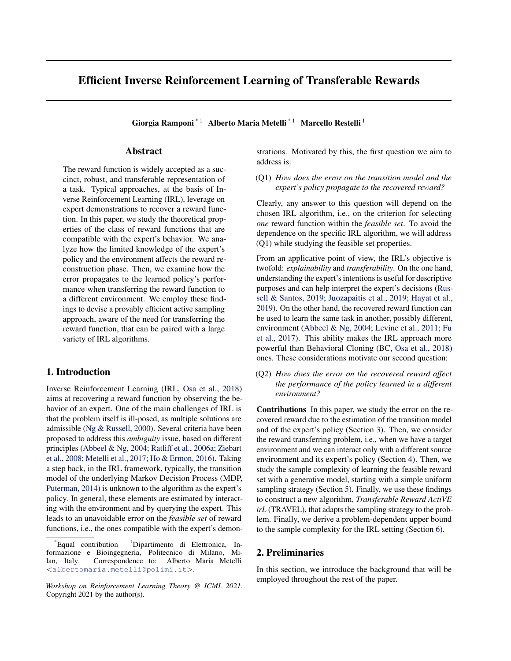# <span id="page-0-0"></span>Efficient Inverse Reinforcement Learning of Transferable Rewards

Giorgia Ramponi<sup>\*1</sup> Alberto Maria Metelli<sup>\*1</sup> Marcello Restelli<sup>1</sup>

# Abstract

The reward function is widely accepted as a succinct, robust, and transferable representation of a task. Typical approaches, at the basis of Inverse Reinforcement Learning (IRL), leverage on expert demonstrations to recover a reward function. In this paper, we study the theoretical properties of the class of reward functions that are compatible with the expert's behavior. We analyze how the limited knowledge of the expert's policy and the environment affects the reward reconstruction phase. Then, we examine how the error propagates to the learned policy's performance when transferring the reward function to a different environment. We employ these findings to devise a provably efficient active sampling approach, aware of the need for transferring the reward function, that can be paired with a large variety of IRL algorithms.

# 1. Introduction

Inverse Reinforcement Learning (IRL, [Osa et al.,](#page-5-0) [2018\)](#page-5-0) aims at recovering a reward function by observing the behavior of an expert. One of the main challenges of IRL is that the problem itself is ill-posed, as multiple solutions are admissible [\(Ng & Russell,](#page-5-0) [2000\)](#page-5-0). Several criteria have been proposed to address this *ambiguity* issue, based on different principles [\(Abbeel & Ng,](#page-5-0) [2004;](#page-5-0) [Ratliff et al.,](#page-6-0) [2006a;](#page-6-0) [Ziebart](#page-6-0) [et al.,](#page-6-0) [2008;](#page-6-0) [Metelli et al.,](#page-5-0) [2017;](#page-5-0) [Ho & Ermon,](#page-5-0) [2016\)](#page-5-0). Taking a step back, in the IRL framework, typically, the transition model of the underlying Markov Decision Process (MDP, [Puterman,](#page-5-0) [2014\)](#page-5-0) is unknown to the algorithm as the expert's policy. In general, these elements are estimated by interacting with the environment and by querying the expert. This leads to an unavoidable error on the *feasible set* of reward functions, i.e., the ones compatible with the expert's demonstrations. Motivated by this, the first question we aim to address is:

(Q1) *How does the error on the transition model and the expert's policy propagate to the recovered reward?*

Clearly, any answer to this question will depend on the chosen IRL algorithm, i.e., on the criterion for selecting *one* reward function within the *feasible set*. To avoid the dependence on the specific IRL algorithm, we will address (Q1) while studying the feasible set properties.

From an applicative point of view, the IRL's objective is twofold: *explainability* and *transferability*. On the one hand, understanding the expert's intentions is useful for descriptive purposes and can help interpret the expert's decisions [\(Rus](#page-6-0)[sell & Santos,](#page-6-0) [2019;](#page-6-0) [Juozapaitis et al.,](#page-5-0) [2019;](#page-5-0) [Hayat et al.,](#page-5-0) [2019\)](#page-5-0). On the other hand, the recovered reward function can be used to learn the same task in another, possibly different, environment [\(Abbeel & Ng,](#page-5-0) [2004;](#page-5-0) [Levine et al.,](#page-5-0) [2011;](#page-5-0) [Fu](#page-5-0) [et al.,](#page-5-0) [2017\)](#page-5-0). This ability makes the IRL approach more powerful than Behavioral Cloning (BC, [Osa et al.,](#page-5-0) [2018\)](#page-5-0) ones. These considerations motivate our second question:

(Q2) *How does the error on the recovered reward affect the performance of the policy learned in a different environment?*

Contributions In this paper, we study the error on the recovered reward due to the estimation of the transition model and of the expert's policy (Section [3\)](#page-1-0). Then, we consider the reward transferring problem, i.e., when we have a target environment and we can interact only with a different source environment and its expert's policy (Section [4\)](#page-2-0). Then, we study the sample complexity of learning the feasible reward set with a generative model, starting with a simple uniform sampling strategy (Section [5\)](#page-2-0). Finally, we use these findings to construct a new algorithm, *Transferable Reward ActiVE irL* (TRAVEL), that adapts the sampling strategy to the problem. Finally, we derive a problem-dependent upper bound to the sample complexity for the IRL setting (Section [6\)](#page-3-0).

### 2. Preliminaries

In this section, we introduce the background that will be employed throughout the rest of the paper.

<sup>\*</sup>Equal contribution <sup>1</sup>Dipartimento di Elettronica, Informazione e Bioingegneria, Politecnico di Milano, Milan, Italy. Correspondence to: Alberto Maria Metelli <[albertomaria.metelli@polimi.it](mailto:albertomaria.metelli@polimi.it)>.

*Workshop on Reinforcement Learning Theory @ ICML 2021*. Copyright 2021 by the author(s).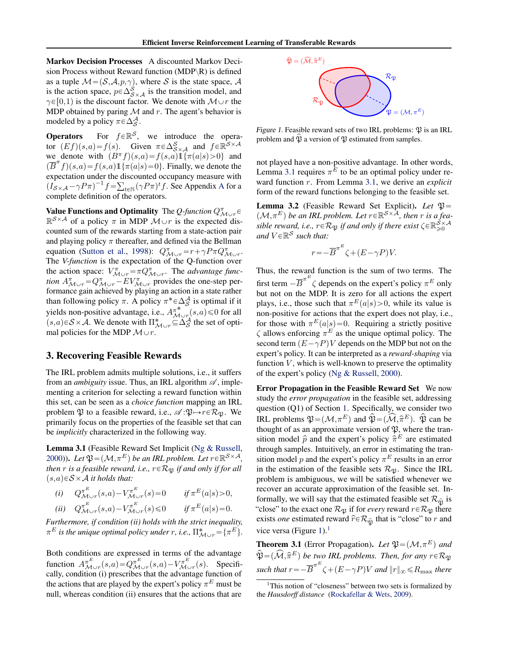<span id="page-1-0"></span>Markov Decision Processes A discounted Markov Decision Process without Reward function (MDP $\R$ ) is defined as a tuple  $\mathcal{M} = (\mathcal{S}, \mathcal{A}, p, \gamma)$ , where S is the state space, A is the action space,  $p \in \Delta_{S \times A}^{S}$  is the transition model, and  $\gamma \in [0,1)$  is the discount factor. We denote with  $\mathcal{M} \cup r$  the MDP obtained by paring  $M$  and r. The agent's behavior is modeled by a policy  $\pi \in \Delta_S^{\mathcal{A}}$ .

**Operators** For  $f \in \mathbb{R}^S$ , we introduce the operator  $(Ef)(s,a) = f(s)$ . Given  $\pi \in \Delta_{S \times A}^{S}$  and  $f \in \mathbb{R}^{S \times A}$ we denote with  $(B^{\pi}f)(s,a) = f(s,a)1\{\pi(a|s) > 0\}$  and  $(\overline{B}^{\pi}f)(s,a) = f(s,a)1\{ \pi(a|s) = 0 \}.$  Finally, we denote the expectation under the discounted occupancy measure with  $\left(I_{\mathcal{S}\times\mathcal{A}}-\gamma P\pi\right)^{-1}f=$  $\cdot$  d  $_{t\in\mathbb{N}}(\gamma P\pi)^{t}f$ . See [A](#page-7-0)ppendix A for a complete definition of the operators.

**Value Functions and Optimality** The *Q-function*  $Q_{\mathcal{M}\cup r}^{\pi}$  $\mathbb{R}^{S \times A}$  of a policy  $\pi$  in MDP  $\mathcal{M} \cup r$  is the expected discounted sum of the rewards starting from a state-action pair and playing policy  $\pi$  thereafter, and defined via the Bellman equation [\(Sutton et al.,](#page-6-0) [1998\)](#page-6-0):  $Q_{\mathcal{M}\cup r}^{\pi} = r + \gamma P \pi Q_{\mathcal{M}\cup r}^{\pi}$ . The *V-function* is the expectation of the Q-function over the action space:  $V_{\mathcal{M}\cup r}^{\pi} = \pi Q_{\mathcal{M}\cup r}^{\pi}$ . The *advantage function*  $A_{\mathcal{M}\cup r}^{\pi} = Q_{\mathcal{M}\cup r}^{\pi} - EV_{\mathcal{M}\cup r}^{\pi}$  provides the one-step performance gain achieved by playing an action in a state rather than following policy  $\pi$ . A policy  $\pi^* \in \Delta_S^{\mathcal{A}}$  is optimal if it vields non-positive advantage, i.e.,  $A_{\mathcal{M}_{\mathcal{O}_r}}^{\pi^*}(s, a) \leq 0$  for all  $(s,a) \in S \times A$ . We denote with  $\Pi_{\mathcal{M} \cup r}^* \subseteq \Delta_S^A$  the set of optimal policies for the MDP  $\mathcal{M} \cup r$ .

### 3. Recovering Feasible Rewards

The IRL problem admits multiple solutions, i.e., it suffers from an *ambiguity* issue. Thus, an IRL algorithm  $\mathscr A$ , implementing a criterion for selecting a reward function within this set, can be seen as a *choice function* mapping an IRL problem  $\mathfrak P$  to a feasible reward, i.e.,  $\mathscr A:\mathfrak P\mapsto r\in\mathcal R_\mathfrak P$ . We primarily focus on the properties of the feasible set that can be *implicitly* characterized in the following way.

Lemma 3.1 (Feasible Reward Set Implicit [\(Ng & Russell,](#page-5-0) [2000\)](#page-5-0)). Let  $\mathfrak{P} = (\mathcal{M}, \pi^E)$  be an IRL problem. Let  $r \in \mathbb{R}^{S \times A}$ , *then*  $r$  *is a feasible reward, i.e.,*  $r \in \mathcal{R}_{\mathfrak{P}}$  *if and only if for all*  $(s,a) \in S \times A$  *it holds that:* 

| (i) $Q_{\mathcal{M}\cup r}^{\pi^E}(s,a) - V_{\mathcal{M}\cup r}^{\pi^E}(s) = 0$     | if $\pi^{E}(a s) > 0$ , |
|-------------------------------------------------------------------------------------|-------------------------|
| (ii) $Q_{\mathcal{M}\cup r}^{\pi^E}(s,a) - V_{\mathcal{M}\cup r}^{\pi^E}(s) \leq 0$ | if $\pi^{E}(a s) = 0$ . |

*Furthermore, if condition (ii) holds with the strict inequality,*  $\pi^{E}$  is the unique optimal policy under r, i.e.,  $\Pi_{\mathcal{M}\cup r}^{*} = \{\pi^{E}\}.$ 

Both conditions are expressed in terms of the advantage function  $A_{\mathcal{M}\cup r}^{\pi^E}(s,a) = Q_{\mathcal{M}\cup r}^{\pi^E}(s,a) - V_{\mathcal{M}\cup r}^{\pi^E}(s)$ . Specifically, condition (i) prescribes that the advantage function of the actions that are played by the expert's policy  $\pi^E$  must be null, whereas condition (ii) ensures that the actions that are



Figure 1. Feasible reward sets of two IRL problems:  $\mathfrak{P}$  is an IRL problem and  $\hat{\mathfrak{P}}$  a version of  $\hat{\mathfrak{P}}$  estimated from samples.

not played have a non-positive advantage. In other words, Lemma 3.1 requires  $\pi^{E}$  to be an optimal policy under reward function r. From Lemma 3.1, we derive an *explicit* form of the reward functions belonging to the feasible set.

Lemma 3.2 (Feasible Reward Set Explicit). *Let*  $\mathfrak{P} =$  $(\mathcal{M}, \pi^E)$  be an IRL problem. Let  $r \in \mathbb{R}^{\mathcal{S} \times \overline{\mathcal{A}}}$ , then r is a fea*sible reward, i.e.,*  $r \in \mathcal{R}_{\mathfrak{P}}$  *if and only if there exist*  $\zeta \in \mathbb{R}^{\mathcal{S} \times \mathcal{A}}_{\geq 0}$ and  $V \in \mathbb{R}^{\mathcal{S}}$  such that:

$$
r = -\overline{B}^{\pi^E} \zeta + (E - \gamma P)V.
$$

Thus, the reward function is the sum of two terms. The first term  $-\overline{B}^{\pi^E} \zeta$  depends on the expert's policy  $\pi^E$  only but not on the MDP. It is zero for all actions the expert plays, i.e., those such that  $\pi^{E}(a|s) > 0$ , while its value is non-positive for actions that the expert does not play, i.e., for those with  $\pi^{E}(a|s) = 0$ . Requiring a strictly positive  $\zeta$  allows enforcing  $\pi^E$  as the unique optimal policy. The second term  $(E - \gamma P)V$  depends on the MDP but not on the expert's policy. It can be interpreted as a *reward-shaping* via function  $V$ , which is well-known to preserve the optimality of the expert's policy [\(Ng & Russell,](#page-5-0) [2000\)](#page-5-0).

Error Propagation in the Feasible Reward Set We now study the *error propagation* in the feasible set, addressing question (Q1) of Section [1.](#page-0-0) Specifically, we consider two IRL problems  $\mathfrak{P} = (\mathcal{M}, \pi^E)$  and  $\widehat{\mathfrak{P}} = (\widehat{\mathcal{M}}, \widehat{\pi}^E)$ .  $\widehat{\mathfrak{P}}$  can be thought of as an approximate version of  $\mathfrak{P}$ , where the transition model  $\hat{p}$  and the expert's policy  $\hat{\pi}^E$  are estimated through samples. Intuitively, an error in estimating the transition model p and the expert's policy  $\pi^{E}$  results in an error in the estimation of the feasible sets  $\mathcal{R}_{\mathfrak{B}}$ . Since the IRL problem is ambiguous, we will be satisfied whenever we recover an accurate approximation of the feasible set. Informally, we will say that the estimated feasible set  $\mathcal{R}_{\hat{\mathfrak{N}}}$  is "close" to the exact one  $\mathcal{R}_{\mathfrak{P}}$  if for *every* reward  $r \in \mathcal{R}_{\mathfrak{P}}$  there exists *one* estimated reward  $\hat{r} \in \mathcal{R}_{\hat{\mathfrak{M}}}$  that is "close" to r and vice versa (Figure 1).<sup>1</sup>

**Theorem 3.1** (Error Propagation). Let  $\mathfrak{P} = (\mathcal{M}, \pi^E)$  and  $\widehat{\mathfrak{P}} = (\widehat{\mathcal{M}}, \widehat{\pi}^E)$  be two IRL problems. Then, for any  $r \in \mathcal{R}_{\mathfrak{P}}$ such that  $r = -\overline{B}^{\pi^E} \zeta + (E - \gamma P)V$  and  $\|r\|_{\infty} \leq R_{\text{max}}$  there

<sup>&</sup>lt;sup>1</sup>This notion of "closeness" between two sets is formalized by the *Hausdorff distance* [\(Rockafellar & Wets,](#page-6-0) [2009\)](#page-6-0).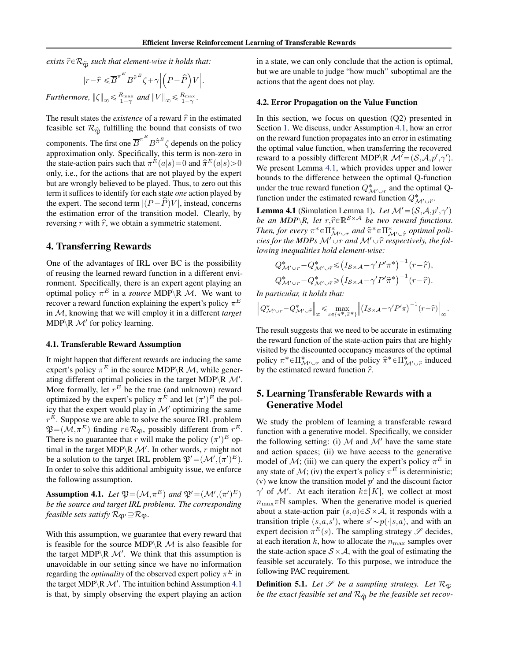<span id="page-2-0"></span>*exists*  $\hat{r} \in \mathcal{R}_{\hat{\mathfrak{P}}}$  *such that element-wise it holds that:* 

$$
|r - \hat{r}| \leq B^{\pi^E} B^{\hat{\pi}^E} \zeta + \gamma \left| \left( P - \hat{P} \right) V \right|.
$$
  
Furthermore,  $\|\zeta\|_{\infty} \leq \frac{R_{\max}}{1 - \gamma}$  and  $\|V\|_{\infty} \leq \frac{R_{\max}}{1 - \gamma}$ .

The result states the *existence* of a reward  $\hat{r}$  in the estimated feasible set  $\mathcal{R}_{\hat{\mathfrak{M}}}$  fulfilling the bound that consists of two components. The first one  $\overline{B}^{\pi^E} B^{\hat{\pi}^E} \zeta$  depends on the policy approximation only. Specifically, this term is non-zero in the state-action pairs such that  $\pi^{E}(a|s) = 0$  and  $\hat{\pi}^{E}(a|s) > 0$ only, i.e., for the actions that are not played by the expert but are wrongly believed to be played. Thus, to zero out this term it suffices to identify for each state *one* action played by the expert. The second term  $|(P - \hat{P})V|$ , instead, concerns the estimation error of the transition model. Clearly, by reversing r with  $\hat{r}$ , we obtain a symmetric statement.

### 4. Transferring Rewards

One of the advantages of IRL over BC is the possibility of reusing the learned reward function in a different environment. Specifically, there is an expert agent playing an optimal policy  $\pi^E$  in a *source* MDP  $\setminus$  R  $\mathcal{M}$ . We want to recover a reward function explaining the expert's policy  $\pi^E$ in M, knowing that we will employ it in a different *target* MDP $\R M'$  for policy learning.

#### 4.1. Transferable Reward Assumption

It might happen that different rewards are inducing the same expert's policy  $\pi^E$  in the source MDP\R M, while generating different optimal policies in the target MDP\R  $\mathcal{M}'$ . More formally, let  $r^E$  be the true (and unknown) reward optimized by the expert's policy  $\pi^{E}$  and let  $(\pi')^{E}$  the policy that the expert would play in  $\mathcal{M}'$  optimizing the same  $r^E$ . Suppose we are able to solve the source IRL problem  $\mathfrak{P} = (\mathcal{M}, \pi^E)$  finding  $r \in \mathcal{R}_{\mathfrak{P}}$ , possibly different from  $r^E$ . There is no guarantee that r will make the policy  $(\pi')^E$  optimal in the target MDP \R  $\mathcal{M}'$ . In other words, r might not be a solution to the target IRL problem  $\mathfrak{P}' = (\mathcal{M}', (\pi')^E)$ . In order to solve this additional ambiguity issue, we enforce the following assumption.

Assumption 4.1. Let  $\mathfrak{P} = (\mathcal{M}, \pi^E)$  and  $\mathfrak{P}' = (\mathcal{M}', (\pi')^E)$ *be the source and target IRL problems. The corresponding feasible sets satisfy*  $\mathcal{R}_{\mathfrak{B}'} \supseteq \supseteq \mathcal{R}_{\mathfrak{B}}$ .

With this assumption, we guarantee that every reward that is feasible for the source MDP  $\mathbb{R}$  M is also feasible for the target MDP $\backslash$ R M'. We think that this assumption is unavoidable in our setting since we have no information regarding the *optimality* of the observed expert policy  $\pi^E$  in the target MDP  $\backslash$ R M'. The intuition behind Assumption 4.1 is that, by simply observing the expert playing an action

in a state, we can only conclude that the action is optimal, but we are unable to judge "how much" suboptimal are the actions that the agent does not play.

#### 4.2. Error Propagation on the Value Function

In this section, we focus on question  $(Q2)$  presented in Section [1.](#page-0-0) We discuss, under Assumption 4.1, how an error on the reward function propagates into an error in estimating the optimal value function, when transferring the recovered reward to a possibly different MDP  $\mathcal{R}$   $\mathcal{M}' = (\mathcal{S}, \mathcal{A}, p', \gamma')$ . We present Lemma 4.1, which provides upper and lower bounds to the difference between the optimal Q-function under the true reward function  $Q^*_{\mathcal{M}' \cup r}$  and the optimal Qfunction under the estimated reward function  $Q^*_{\mathcal{M}' \cup \hat{r}}$ .

**Lemma 4.1** (Simulation Lemma 1). Let  $\mathcal{M}' = (\mathcal{S}, \mathcal{A}, p', \gamma')$ *be an MDP* $\backslash$ *R, let*  $r, \hat{r} \in \mathbb{R}^{S \times A}$  *be two reward functions. Then, for every*  $\pi^* \in \Pi^*_{\mathcal{M}' \cup r}$  and  $\hat{\pi}^* \in \Pi^*_{\mathcal{M}' \cup \hat{r}}$  optimal poli*cies for the MDPs*  $M' \cup r$  *and*  $M' \cup \hat{r}$  *respectively, the following inequalities hold element-wise:* `

$$
Q^*_{\mathcal{M}' \cup r} - Q^*_{\mathcal{M}' \cup \hat{r}} \leq (I_{\mathcal{S} \times \mathcal{A}} - \gamma' P' \pi^*)^{-1} (r - \hat{r}),
$$
  

$$
Q^*_{\mathcal{M}' \cup r} - Q^*_{\mathcal{M}' \cup \hat{r}} \geq (I_{\mathcal{S} \times \mathcal{A}} - \gamma' P' \hat{\pi}^*)^{-1} (r - \hat{r}).
$$

In particular, it holds that:

$$
\left\|Q_{\mathcal{M}'\cup r}^{*}-Q_{\mathcal{M}'\cup \hat{r}}^{*}\right\|_{\infty} \leq \max_{\pi\in\{\pi^{*},\hat{\pi}^{*}\}}\left\|\left(I_{\mathcal{S}\times\mathcal{A}}-\gamma'P'\pi\right)^{-1}(r-\hat{r})\right\|_{\infty}.
$$

The result suggests that we need to be accurate in estimating the reward function of the state-action pairs that are highly visited by the discounted occupancy measures of the optimal policy  $\pi^* \in \Pi^*_{\mathcal{M}' \cup r}$  and of the policy  $\hat{\pi}^* \in \Pi^*_{\mathcal{M}' \cup \hat{r}}$  induced by the estimated reward function  $\hat{r}$ .

# 5. Learning Transferable Rewards with a Generative Model

We study the problem of learning a transferable reward function with a generative model. Specifically, we consider the following setting: (i)  $M$  and  $M'$  have the same state and action spaces; (ii) we have access to the generative model of M; (iii) we can query the expert's policy  $\pi^E$  in any state of  $\mathcal{M}$ ; (iv) the expert's policy  $\pi^E$  is deterministic; (v) we know the transition model  $p'$  and the discount factor  $\gamma'$  of M'. At each iteration  $k \in [K]$ , we collect at most  $n_{\text{max}} \in \mathbb{N}$  samples. When the generative model is queried about a state-action pair  $(s,a) \in S \times A$ , it responds with a transition triple  $(s,a,s')$ , where  $s' \sim p(\cdot|s,a)$ , and with an expert decision  $\pi^E(s)$ . The sampling strategy  $\mathscr S$  decides, at each iteration k, how to allocate the  $n_{\text{max}}$  samples over the state-action space  $S \times A$ , with the goal of estimating the feasible set accurately. To this purpose, we introduce the following PAC requirement.

**Definition 5.1.** Let  $\mathcal{S}$  be a sampling strategy. Let  $\mathcal{R}_{\mathfrak{B}}$ *be the exact feasible set and*  $\mathcal{R}_{\hat{\mathfrak{R}}}$  *be the feasible set recov-*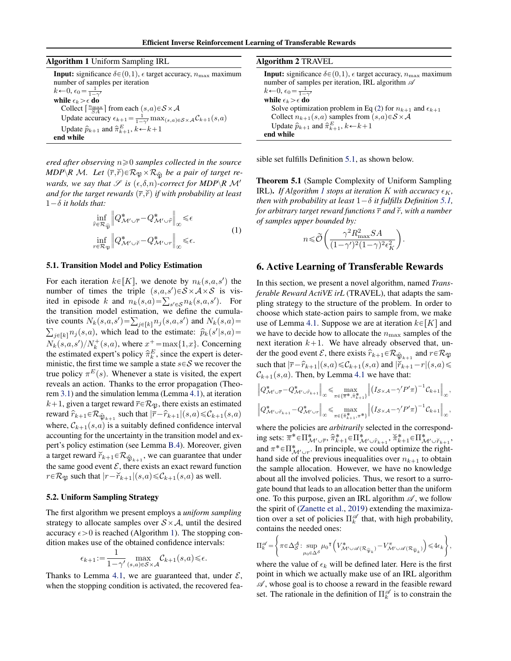<span id="page-3-0"></span>

| <b>Algorithm 2 TRAVEL</b>                                                                                                                                                                                                                                     |  |
|---------------------------------------------------------------------------------------------------------------------------------------------------------------------------------------------------------------------------------------------------------------|--|
| <b>Input:</b> significance $\delta \in (0,1)$ , $\epsilon$ target accuracy, $n_{\text{max}}$ maximum<br>number of samples per iteration, IRL algorithm $\mathscr A$<br>$k\leftarrow 0, \epsilon_0 = \frac{1}{1-\gamma'}$                                      |  |
| while $\epsilon_k > \epsilon$ do<br>Solve optimization problem in Eq (2) for $n_{k+1}$ and $\epsilon_{k+1}$<br>Collect $n_{k+1}(s,a)$ samples from $(s,a) \in S \times A$<br>Update $\hat{p}_{k+1}$ and $\hat{\pi}_{k+1}^E$ , $k \leftarrow k+1$<br>end while |  |
|                                                                                                                                                                                                                                                               |  |

*ered after observing*  $n \geq 0$  *samples collected in the source MDP*\*R M.* Let  $(\overline{r}, \overline{r}) \in \mathcal{R}_{\mathfrak{P}} \times \mathcal{R}_{\hat{\mathfrak{R}}}$  be a pair of target re*wards, we say that*  $\mathscr{S}$  *is*  $(\epsilon, \delta, n)$ -correct for MDP  $\backslash$ *R*  $\mathcal{M}'$ *and for the target rewards*  $(\overline{r},\overline{r})$  *if with probability at least*  $1-\delta$  *it holds that:* 

$$
\inf_{\hat{r}\in\mathcal{R}_{\widehat{\mathfrak{P}}}}\left\|Q^*_{\mathcal{M}'\cup\bar{r}}-Q^*_{\mathcal{M}'\cup\hat{r}}\right\|_{\infty}\leq\epsilon
$$
\n
$$
\inf_{r\in\mathcal{R}_{\mathfrak{P}}}\left\|Q^*_{\mathcal{M}'\cup\check{r}}-Q^*_{\mathcal{M}'\cup r}\right\|_{\infty}\leq\epsilon.
$$
\n(1)

#### 5.1. Transition Model and Policy Estimation

For each iteration  $k \in [K]$ , we denote by  $n_k(s,a,s')$  the number of times the triple  $(s,a,s') \in S \times A \times S$  is visnumber of times the triple  $(s, a, s') \in S \times A \times S$  is vis-<br>ited in episode k and  $n_k(s,a) = \sum_{s' \in S} n_k(s,a,s')$ . For the transition model estimation, we define the cumulathe transition model estimation, we define the cumulative counts  $N_k(s,a,s') = \sum_{j \in [k]} n_j(s,a,s')$  and  $N_k(s,a) =$  $_{j\in[k]}$   $n_j(s,a)$ , which lead to the estimate:  $\hat{p}_k(s'|s,a)$  =  $N_k(s,a,s')/N_k^+(s,a)$ , where  $x^+ = \max\{1,x\}$ . Concerning the estimated expert's policy  $\hat{\pi}_k^E$ , since the expert is deterministic, the first time we sample a state  $s \in S$  we recover the true policy  $\pi^{E}(s)$ . Whenever a state is visited, the expert reveals an action. Thanks to the error propagation (Theorem [3.1\)](#page-1-0) and the simulation lemma (Lemma [4.1\)](#page-2-0), at iteration  $k+1$ , given a target reward  $\overline{r} \in \mathcal{R}_{\mathfrak{P}}$ , there exists an estimated reward  $\hat{r}_{k+1} \in \mathcal{R}_{\hat{\mathfrak{P}}_{k+1}}$  such that  $|\overline{r} - \hat{r}_{k+1}|(s,a) \leq \mathcal{C}_{k+1}(s,a)$ where,  $\mathcal{C}_{k+1}(s,a)$  is a suitably defined confidence interval accounting for the uncertainty in the transition model and expert's policy estimation (see Lemma [B.4\)](#page-9-0). Moreover, given a target reward  $\widecheck{r}_{k+1} \in \mathcal{R}_{\widehat{\mathfrak{P}}_{k+1}}$ , we can guarantee that under the same good event  $\mathcal{E}$ , there exists an exact reward function  $r \in \mathcal{R}_{\mathfrak{P}}$  such that  $|r-\widetilde{r}_{k+1}|(s,a) \leq \mathcal{C}_{k+1}(s,a)$  as well.

#### 5.2. Uniform Sampling Strategy

The first algorithm we present employs a *uniform sampling* strategy to allocate samples over  $S \times A$ , until the desired accuracy  $\epsilon > 0$  is reached (Algorithm 1). The stopping condition makes use of the obtained confidence intervals:

$$
\epsilon_{k+1} := \frac{1}{1 - \gamma'} \max_{(s,a) \in \mathcal{S} \times \mathcal{A}} \mathcal{C}_{k+1}(s,a) \le \epsilon.
$$

Thanks to Lemma [4.1,](#page-2-0) we are guaranteed that, under  $\mathcal{E}$ , when the stopping condition is activated, the recovered fea-

|  |  | sible set fulfills Definition 5.1, as shown below. |
|--|--|----------------------------------------------------|
|--|--|----------------------------------------------------|

Theorem 5.1 (Sample Complexity of Uniform Sampling **IRL).** *If Algorithm 1 stops at iteration K with accuracy*  $\epsilon_K$ , *then with probability at least*  $1-\delta$  *it fulfills Definition* [5.1,](#page-2-0) *for arbitrary target reward functions*  $\bar{r}$  *and*  $\tilde{r}$ *, with a number of samples upper bounded by:* ˆ

$$
n \leq \widetilde{\mathcal{O}}\left(\frac{\gamma^2 R_{\text{max}}^2 SA}{(1 - \gamma')^2 (1 - \gamma)^2 \epsilon_K^2}\right).
$$

### 6. Active Learning of Transferable Rewards

In this section, we present a novel algorithm, named *Transferable Reward ActiVE irL* (TRAVEL), that adapts the sampling strategy to the structure of the problem. In order to choose which state-action pairs to sample from, we make use of Lemma [4.1.](#page-2-0) Suppose we are at iteration  $k \in |K|$  and we have to decide how to allocate the  $n_{\rm max}$  samples of the next iteration  $k+1$ . We have already observed that, under the good event  $\mathcal E$ , there exists  $\hat r_{k+1} \in \mathcal R_{\hat\mathfrak{P}_{k+1}}$  and  $r \in \mathcal R_{\mathfrak{P}_k}$ such that  $|\overline{r}-\widehat{r}_{k+1}|(s,a)\leq \mathcal{C}_{k+1}(s,a)$  and  $|\breve{r}_{k+1}-r|(s,a)\leq \frac{1}{2}$  $\mathcal{C}_{k+1}(s,a)$ . Then, by Lemma [4.1](#page-2-0) we have that:

$$
\left\|Q^*_{\mathcal{M}'\cup\overline{r}}-Q^*_{\mathcal{M}'\cup\widehat{r}_{k+1}}\right\|_{\infty}\leq\max_{\pi\in\{\overline{\pi}^*,\widehat{\pi}^*_{k+1}\}}\left\|\left(I_{\mathcal{S}\times\mathcal{A}}-\gamma'P'\pi\right)^{-1}\mathcal{C}_{k+1}\right\|_{\infty},
$$
  

$$
\left\|Q^*_{\mathcal{M}'\cup\breve{r}_{k+1}}-Q^*_{\mathcal{M}'\cup r}\right\|_{\infty}\leq\max_{\pi\in\{\widetilde{\pi}^*_{k+1},\pi^*\}}\left\|\left(I_{\mathcal{S}\times\mathcal{A}}-\gamma'P'\pi\right)^{-1}\mathcal{C}_{k+1}\right\|_{\infty},
$$

where the policies are *arbitrarily* selected in the correspond- $\inf_{\mathcal{M} \cup \tilde{r}} \operatorname{set} \mathbb{H}_{\mathcal{M}' \cup \tilde{r}}^*$ ,  $\hat{\pi}_{k+1}^* \in \Pi_{\mathcal{M}' \cup \hat{r}_{k+1}}^*$ ,  $\check{\pi}_{k+1}^* \in \Pi_{\mathcal{M}' \cup \check{r}_{k+1}}^*$ , and  $\pi^* \in \Pi^*_{\mathcal{M}' \cup r}$ . In principle, we could optimize the righthand side of the previous inequalities over  $n_{k+1}$  to obtain the sample allocation. However, we have no knowledge about all the involved policies. Thus, we resort to a surrogate bound that leads to an allocation better than the uniform one. To this purpose, given an IRL algorithm  $\mathscr A$ , we follow the spirit of [\(Zanette et al.,](#page-6-0) [2019\)](#page-6-0) extending the maximization over a set of policies  $\prod_{k=1}^{\infty}$  that, with high probability, contains the needed ones:

$$
\Pi_k^{\mathscr A}=\left\{\pi\!\in\!\Delta_{{\mathcal S}}^{\mathcal A}\!:\sup_{\mu_0\in\Delta^{\mathcal S}}\mu_0{}^{\mathsf T}\left(V_{{\mathcal M}'\cup{\mathscr A}}^*({\mathcal R}_{\widehat{\mathfrak{P}}_k})-V_{{\mathcal M}'\cup{\mathscr A}}^{\pi}({\mathcal R}_{\widehat{\mathfrak{P}}_k})\right)\!\leq\! 4\epsilon_k\right\}\!,
$$

where the value of  $\epsilon_k$  will be defined later. Here is the first point in which we actually make use of an IRL algorithm  $\mathscr A$ , whose goal is to choose a reward in the feasible reward set. The rationale in the definition of  $\prod_{k=1}^{\infty}$  is to constrain the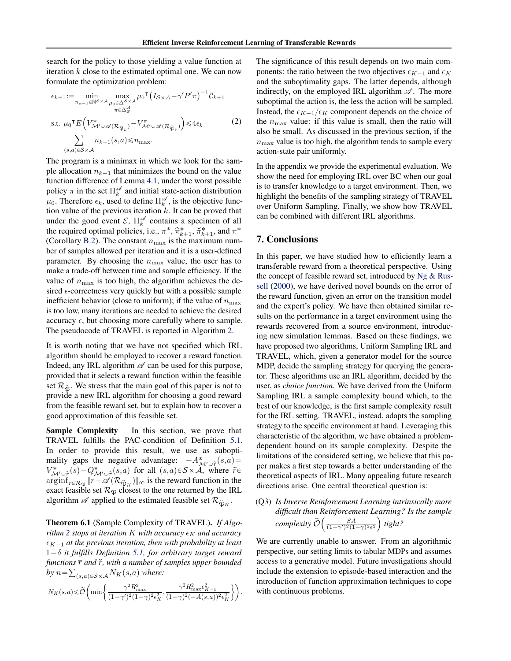<span id="page-4-0"></span>search for the policy to those yielding a value function at iteration  $k$  close to the estimated optimal one. We can now formulate the optimization problem:

$$
\epsilon_{k+1} := \min_{n_{k+1} \in \mathbb{N}^S \times A} \max_{\substack{\mu_0 \in \Delta^S \times A \\ \pi \in \Delta_{\mathcal{S}}^A}} \mu_0^{\text{T}} \left( I_{S \times A} - \gamma' P' \pi \right)^{-1} C_{k+1}
$$
\n
$$
\text{s.t. } \mu_0^{\text{T}} E \left( V_{\mathcal{M}' \cup \mathcal{A}(\mathcal{R}_{\widehat{\mathfrak{P}}_k})}^* - V_{\mathcal{M}' \cup \mathcal{A}(\mathcal{R}_{\widehat{\mathfrak{P}}_k})}^* \right) \leq 4\epsilon_k
$$
\n
$$
\sum_{(s,a) \in S \times \mathcal{A}} n_{k+1}(s,a) \leq n_{\text{max}}.
$$
\n
$$
(s,a) \in S \times \mathcal{A}
$$
\n
$$
(s,a) \in S \times \mathcal{A}
$$
\n
$$
(s,a) \in S \times \mathcal{A}
$$
\n
$$
(s,a) \in S \times \mathcal{A}
$$
\n
$$
(s,a) \in S \times \mathcal{A}
$$
\n
$$
(s,a) \in S \times \mathcal{A}
$$
\n
$$
(s,a) \in S \times \mathcal{A}
$$
\n
$$
(s,a) \in S \times \mathcal{A}
$$
\n
$$
(s,a) \in S \times \mathcal{A}
$$
\n
$$
(s,a) \in S \times \mathcal{A}
$$
\n
$$
(s,a) \in S \times \mathcal{A}
$$
\n
$$
(s,a) \in S \times \mathcal{A}
$$
\n
$$
(s,a) \in S \times \mathcal{A}
$$
\n
$$
(s,a) \in S \times \mathcal{A}
$$
\n
$$
(s,a) \in S \times \mathcal{A}
$$
\n
$$
(s,a) \in S \times \mathcal{A}
$$
\n
$$
(s,a) \in S \times \mathcal{A}
$$
\n
$$
(s,a) \in S \times \mathcal{A}
$$
\n
$$
(s,a) \in S \times \mathcal{A}
$$
\n
$$
(s,a) \in S \times \mathcal{A}
$$
\n
$$
(s,a) \in S \times \mathcal{A}
$$
\n
$$
(
$$

The program is a minimax in which we look for the sample allocation  $n_{k+1}$  that minimizes the bound on the value function difference of Lemma [4.1,](#page-2-0) under the worst possible policy  $\pi$  in the set  $\Pi_k^{\mathscr{A}}$  and initial state-action distribution  $\mu_0$ . Therefore  $\epsilon_k$ , used to define  $\prod_k^{\mathscr{A}}$ , is the objective function value of the previous iteration  $k$ . It can be proved that under the good event  $\mathcal{E}, \Pi_k^{\mathscr{A}}$  contains a specimen of all the required optimal policies, i.e.,  $\pi^*$ ,  $\hat{\pi}_{k+1}^*$ ,  $\check{\pi}_{k+1}^*$ , and  $\pi^*$ (Corollary [B.2\)](#page-13-0). The constant  $n_{\text{max}}$  is the maximum number of samples allowed per iteration and it is a user-defined parameter. By choosing the  $n_{\text{max}}$  value, the user has to make a trade-off between time and sample efficiency. If the value of  $n_{\text{max}}$  is too high, the algorithm achieves the desired  $\epsilon$ -correctness very quickly but with a possible sample inefficient behavior (close to uniform); if the value of  $n_{\text{max}}$ is too low, many iterations are needed to achieve the desired accuracy  $\epsilon$ , but choosing more carefully where to sample. The pseudocode of TRAVEL is reported in Algorithm [2.](#page-3-0)

It is worth noting that we have not specified which IRL algorithm should be employed to recover a reward function. Indeed, any IRL algorithm  $\mathscr A$  can be used for this purpose, provided that it selects a reward function within the feasible set  $\mathcal{R}_{\hat{\mathfrak{N}}}$ . We stress that the main goal of this paper is not to provide a new IRL algorithm for choosing a good reward from the feasible reward set, but to explain how to recover a good approximation of this feasible set.

Sample Complexity In this section, we prove that TRAVEL fulfills the PAC-condition of Definition [5.1.](#page-2-0) In order to provide this result, we use as suboptimality gaps the negative advantage:  $-A^*_{\mathcal{M}' \cup \tilde{r}}(s,a)$  $V^*_{\mathcal{M}'\cup \tilde{r}}(s) - Q^*_{\mathcal{M}'\cup \tilde{r}}(s,a)$  for all  $(s,a) \in \mathcal{S} \times \tilde{\mathcal{A}}$ , where  $\tilde{r} \in$  $\arg\inf_{r \in \mathcal{R}_{\mathfrak{P}}}\Vert r-\mathscr{A}(\mathcal{R}_{\hat{\mathfrak{P}}_K})\Vert_{\infty}$  is the reward function in the exact feasible set  $\mathcal{R}_{\mathfrak{P}}$  closest to the one returned by the IRL algorithm  $\mathscr A$  applied to the estimated feasible set  $\mathcal R_{\widehat{\mathfrak P}_K}.$ 

Theorem 6.1 (Sample Complexity of TRAVEL). *If Algorithm* [2](#page-3-0) *stops at iteration* K *with accuracy*  $\epsilon_K$  *and accuracy*  $\epsilon_{K-1}$  *at the previous iteration, then with probability at least*  $1-\delta$  *it fulfills Definition* [5.1,](#page-2-0) *for arbitrary target reward* functions  $\bar{r}$  and  $\check{r}$ , with a number of samples upper bounded by  $n = \sum_{(s,a)\in S\times A} N_K(s,a)$  where:

$$
N_K(s,a)\!\leq\!\widetilde{\mathcal{O}}\!\left(\min\!\left\{\frac{\gamma^2 R_{\max}^2}{(1\!-\!\gamma')^2(1\!-\!\gamma)^2\epsilon_K^2},\frac{\gamma^2 R_{\max}^2\epsilon_{K-1}^2}{(1\!-\!\gamma)^2(-A(s,a))^2\epsilon_K^2}\right\}\right)\!.
$$

The significance of this result depends on two main components: the ratio between the two objectives  $\epsilon_{K-1}$  and  $\epsilon_K$ and the suboptimality gaps. The latter depends, although indirectly, on the employed IRL algorithm  $\mathscr A$ . The more suboptimal the action is, the less the action will be sampled. Instead, the  $\epsilon_{K-1}/\epsilon_K$  component depends on the choice of the  $n_{\text{max}}$  value: if this value is small, then the ratio will also be small. As discussed in the previous section, if the  $n_{\text{max}}$  value is too high, the algorithm tends to sample every action-state pair uniformly.

In the appendix we provide the experimental evaluation. We show the need for employing IRL over BC when our goal is to transfer knowledge to a target environment. Then, we highlight the benefits of the sampling strategy of TRAVEL over Uniform Sampling. Finally, we show how TRAVEL can be combined with different IRL algorithms.

### 7. Conclusions

In this paper, we have studied how to efficiently learn a transferable reward from a theoretical perspective. Using the concept of feasible reward set, introduced by  $Ng \& Rus$ [sell](#page-5-0) [\(2000\)](#page-5-0), we have derived novel bounds on the error of the reward function, given an error on the transition model and the expert's policy. We have then obtained similar results on the performance in a target environment using the rewards recovered from a source environment, introducing new simulation lemmas. Based on these findings, we have proposed two algorithms, Uniform Sampling IRL and TRAVEL, which, given a generator model for the source MDP, decide the sampling strategy for querying the generator. These algorithms use an IRL algorithm, decided by the user, as *choice function*. We have derived from the Uniform Sampling IRL a sample complexity bound which, to the best of our knowledge, is the first sample complexity result for the IRL setting. TRAVEL, instead, adapts the sampling strategy to the specific environment at hand. Leveraging this characteristic of the algorithm, we have obtained a problemdependent bound on its sample complexity. Despite the limitations of the considered setting, we believe that this paper makes a first step towards a better understanding of the theoretical aspects of IRL. Many appealing future research directions arise. One central theoretical question is:

(Q3) *Is Inverse Reinforcement Learning intrinsically more* difficult than Reinforcement Learning? Is the sample  $\textit{complexity} \, \widetilde{\mathcal{O}}\Big(\frac{S A}{(1-\gamma')^2(1-\gamma)^2\epsilon^2}\Big) \textit{ tight?}$ 

We are currently unable to answer. From an algorithmic perspective, our setting limits to tabular MDPs and assumes access to a generative model. Future investigations should include the extension to episode-based interaction and the introduction of function approximation techniques to cope with continuous problems.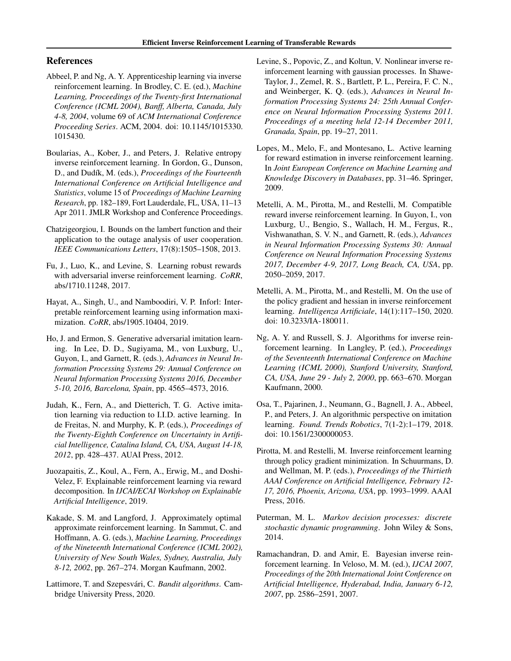# <span id="page-5-0"></span>References

- Abbeel, P. and Ng, A. Y. Apprenticeship learning via inverse reinforcement learning. In Brodley, C. E. (ed.), *Machine Learning, Proceedings of the Twenty-first International Conference (ICML 2004), Banff, Alberta, Canada, July 4-8, 2004*, volume 69 of *ACM International Conference Proceeding Series*. ACM, 2004. doi: 10.1145/1015330. 1015430.
- Boularias, A., Kober, J., and Peters, J. Relative entropy inverse reinforcement learning. In Gordon, G., Dunson, D., and Dud´ık, M. (eds.), *Proceedings of the Fourteenth International Conference on Artificial Intelligence and Statistics*, volume 15 of *Proceedings of Machine Learning Research*, pp. 182–189, Fort Lauderdale, FL, USA, 11–13 Apr 2011. JMLR Workshop and Conference Proceedings.
- Chatzigeorgiou, I. Bounds on the lambert function and their application to the outage analysis of user cooperation. *IEEE Communications Letters*, 17(8):1505–1508, 2013.
- Fu, J., Luo, K., and Levine, S. Learning robust rewards with adversarial inverse reinforcement learning. *CoRR*, abs/1710.11248, 2017.
- Hayat, A., Singh, U., and Namboodiri, V. P. Inforl: Interpretable reinforcement learning using information maximization. *CoRR*, abs/1905.10404, 2019.
- Ho, J. and Ermon, S. Generative adversarial imitation learning. In Lee, D. D., Sugiyama, M., von Luxburg, U., Guyon, I., and Garnett, R. (eds.), *Advances in Neural Information Processing Systems 29: Annual Conference on Neural Information Processing Systems 2016, December 5-10, 2016, Barcelona, Spain*, pp. 4565–4573, 2016.
- Judah, K., Fern, A., and Dietterich, T. G. Active imitation learning via reduction to I.I.D. active learning. In de Freitas, N. and Murphy, K. P. (eds.), *Proceedings of the Twenty-Eighth Conference on Uncertainty in Artificial Intelligence, Catalina Island, CA, USA, August 14-18, 2012*, pp. 428–437. AUAI Press, 2012.
- Juozapaitis, Z., Koul, A., Fern, A., Erwig, M., and Doshi-Velez, F. Explainable reinforcement learning via reward decomposition. In *IJCAI/ECAI Workshop on Explainable Artificial Intelligence*, 2019.
- Kakade, S. M. and Langford, J. Approximately optimal approximate reinforcement learning. In Sammut, C. and Hoffmann, A. G. (eds.), *Machine Learning, Proceedings of the Nineteenth International Conference (ICML 2002), University of New South Wales, Sydney, Australia, July 8-12, 2002*, pp. 267–274. Morgan Kaufmann, 2002.
- Lattimore, T. and Szepesvári, C. *Bandit algorithms*. Cambridge University Press, 2020.
- Levine, S., Popovic, Z., and Koltun, V. Nonlinear inverse reinforcement learning with gaussian processes. In Shawe-Taylor, J., Zemel, R. S., Bartlett, P. L., Pereira, F. C. N., and Weinberger, K. Q. (eds.), *Advances in Neural Information Processing Systems 24: 25th Annual Conference on Neural Information Processing Systems 2011. Proceedings of a meeting held 12-14 December 2011, Granada, Spain*, pp. 19–27, 2011.
- Lopes, M., Melo, F., and Montesano, L. Active learning for reward estimation in inverse reinforcement learning. In *Joint European Conference on Machine Learning and Knowledge Discovery in Databases*, pp. 31–46. Springer, 2009.
- Metelli, A. M., Pirotta, M., and Restelli, M. Compatible reward inverse reinforcement learning. In Guyon, I., von Luxburg, U., Bengio, S., Wallach, H. M., Fergus, R., Vishwanathan, S. V. N., and Garnett, R. (eds.), *Advances in Neural Information Processing Systems 30: Annual Conference on Neural Information Processing Systems 2017, December 4-9, 2017, Long Beach, CA, USA*, pp. 2050–2059, 2017.
- Metelli, A. M., Pirotta, M., and Restelli, M. On the use of the policy gradient and hessian in inverse reinforcement learning. *Intelligenza Artificiale*, 14(1):117–150, 2020. doi: 10.3233/IA-180011.
- Ng, A. Y. and Russell, S. J. Algorithms for inverse reinforcement learning. In Langley, P. (ed.), *Proceedings of the Seventeenth International Conference on Machine Learning (ICML 2000), Stanford University, Stanford, CA, USA, June 29 - July 2, 2000*, pp. 663–670. Morgan Kaufmann, 2000.
- Osa, T., Pajarinen, J., Neumann, G., Bagnell, J. A., Abbeel, P., and Peters, J. An algorithmic perspective on imitation learning. *Found. Trends Robotics*, 7(1-2):1–179, 2018. doi: 10.1561/2300000053.
- Pirotta, M. and Restelli, M. Inverse reinforcement learning through policy gradient minimization. In Schuurmans, D. and Wellman, M. P. (eds.), *Proceedings of the Thirtieth AAAI Conference on Artificial Intelligence, February 12- 17, 2016, Phoenix, Arizona, USA*, pp. 1993–1999. AAAI Press, 2016.
- Puterman, M. L. *Markov decision processes: discrete stochastic dynamic programming*. John Wiley & Sons, 2014.
- Ramachandran, D. and Amir, E. Bayesian inverse reinforcement learning. In Veloso, M. M. (ed.), *IJCAI 2007, Proceedings of the 20th International Joint Conference on Artificial Intelligence, Hyderabad, India, January 6-12, 2007*, pp. 2586–2591, 2007.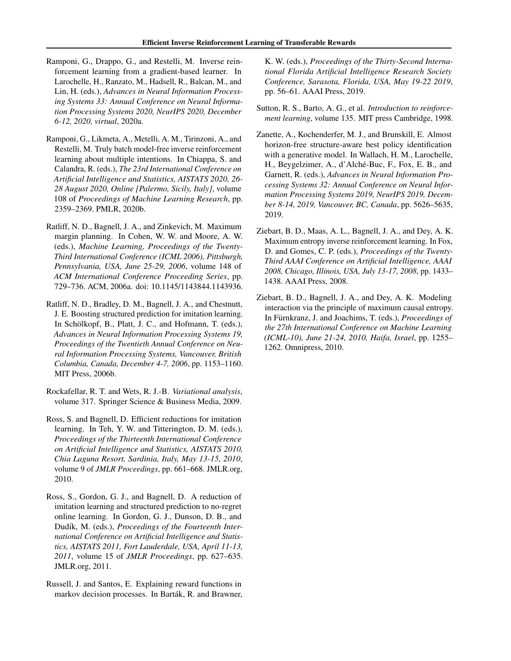- <span id="page-6-0"></span>Ramponi, G., Drappo, G., and Restelli, M. Inverse reinforcement learning from a gradient-based learner. In Larochelle, H., Ranzato, M., Hadsell, R., Balcan, M., and Lin, H. (eds.), *Advances in Neural Information Processing Systems 33: Annual Conference on Neural Information Processing Systems 2020, NeurIPS 2020, December 6-12, 2020, virtual*, 2020a.
- Ramponi, G., Likmeta, A., Metelli, A. M., Tirinzoni, A., and Restelli, M. Truly batch model-free inverse reinforcement learning about multiple intentions. In Chiappa, S. and Calandra, R. (eds.), *The 23rd International Conference on Artificial Intelligence and Statistics, AISTATS 2020, 26- 28 August 2020, Online [Palermo, Sicily, Italy]*, volume 108 of *Proceedings of Machine Learning Research*, pp. 2359–2369. PMLR, 2020b.
- Ratliff, N. D., Bagnell, J. A., and Zinkevich, M. Maximum margin planning. In Cohen, W. W. and Moore, A. W. (eds.), *Machine Learning, Proceedings of the Twenty-Third International Conference (ICML 2006), Pittsburgh, Pennsylvania, USA, June 25-29, 2006*, volume 148 of *ACM International Conference Proceeding Series*, pp. 729–736. ACM, 2006a. doi: 10.1145/1143844.1143936.
- Ratliff, N. D., Bradley, D. M., Bagnell, J. A., and Chestnutt, J. E. Boosting structured prediction for imitation learning. In Schölkopf, B., Platt, J. C., and Hofmann, T. (eds.), *Advances in Neural Information Processing Systems 19, Proceedings of the Twentieth Annual Conference on Neural Information Processing Systems, Vancouver, British Columbia, Canada, December 4-7, 2006*, pp. 1153–1160. MIT Press, 2006b.
- Rockafellar, R. T. and Wets, R. J.-B. *Variational analysis*, volume 317. Springer Science & Business Media, 2009.
- Ross, S. and Bagnell, D. Efficient reductions for imitation learning. In Teh, Y. W. and Titterington, D. M. (eds.), *Proceedings of the Thirteenth International Conference on Artificial Intelligence and Statistics, AISTATS 2010, Chia Laguna Resort, Sardinia, Italy, May 13-15, 2010*, volume 9 of *JMLR Proceedings*, pp. 661–668. JMLR.org, 2010.
- Ross, S., Gordon, G. J., and Bagnell, D. A reduction of imitation learning and structured prediction to no-regret online learning. In Gordon, G. J., Dunson, D. B., and Dudík, M. (eds.), *Proceedings of the Fourteenth International Conference on Artificial Intelligence and Statistics, AISTATS 2011, Fort Lauderdale, USA, April 11-13, 2011*, volume 15 of *JMLR Proceedings*, pp. 627–635. JMLR.org, 2011.
- Russell, J. and Santos, E. Explaining reward functions in markov decision processes. In Barták, R. and Brawner,

K. W. (eds.), *Proceedings of the Thirty-Second International Florida Artificial Intelligence Research Society Conference, Sarasota, Florida, USA, May 19-22 2019*, pp. 56–61. AAAI Press, 2019.

- Sutton, R. S., Barto, A. G., et al. *Introduction to reinforcement learning*, volume 135. MIT press Cambridge, 1998.
- Zanette, A., Kochenderfer, M. J., and Brunskill, E. Almost horizon-free structure-aware best policy identification with a generative model. In Wallach, H. M., Larochelle, H., Beygelzimer, A., d'Alché-Buc, F., Fox, E. B., and Garnett, R. (eds.), *Advances in Neural Information Processing Systems 32: Annual Conference on Neural Information Processing Systems 2019, NeurIPS 2019, December 8-14, 2019, Vancouver, BC, Canada*, pp. 5626–5635, 2019.
- Ziebart, B. D., Maas, A. L., Bagnell, J. A., and Dey, A. K. Maximum entropy inverse reinforcement learning. In Fox, D. and Gomes, C. P. (eds.), *Proceedings of the Twenty-Third AAAI Conference on Artificial Intelligence, AAAI 2008, Chicago, Illinois, USA, July 13-17, 2008*, pp. 1433– 1438. AAAI Press, 2008.
- Ziebart, B. D., Bagnell, J. A., and Dey, A. K. Modeling interaction via the principle of maximum causal entropy. In Fürnkranz, J. and Joachims, T. (eds.), Proceedings of *the 27th International Conference on Machine Learning (ICML-10), June 21-24, 2010, Haifa, Israel*, pp. 1255– 1262. Omnipress, 2010.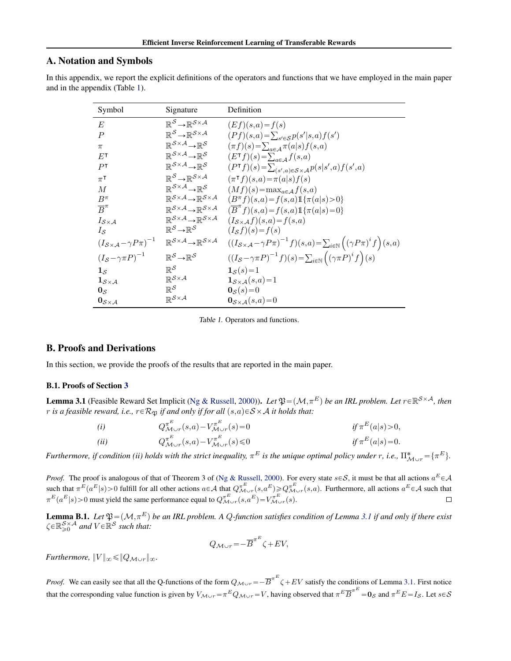# <span id="page-7-0"></span>A. Notation and Symbols

In this appendix, we report the explicit definitions of the operators and functions that we have employed in the main paper and in the appendix (Table 1).

| Symbol                                              | Signature                                                                                               | Definition                                                                                                                                                    |
|-----------------------------------------------------|---------------------------------------------------------------------------------------------------------|---------------------------------------------------------------------------------------------------------------------------------------------------------------|
| E                                                   | $\mathbb{R}^{\mathcal{S}} \rightarrow \mathbb{R}^{\mathcal{S} \times \mathcal{A}}$                      | $(Ef)(s,a) = f(s)$                                                                                                                                            |
| $\boldsymbol{P}$                                    | $\mathbb{R}^{\mathcal{S}} \rightarrow \mathbb{R}^{\mathcal{S} \times \mathcal{A}}$                      | $(Pf)(s,a) = \sum_{s' \in S} p(s' s,a) f(s')$                                                                                                                 |
| $\pi$                                               | $\mathbb{R}^{\mathcal{S} \times \mathcal{A}} {\rightarrow} \mathbb{R}^{\mathcal{S}}$                    | $(\pi f)(s) = \sum_{a \in A} \pi(a s) f(s,a)$                                                                                                                 |
| $E$ T                                               | $\mathbb{R}^{\mathcal{S} \times \mathcal{A}} \rightarrow \mathbb{R}^{\mathcal{S}}$                      | $(ET f)(s) = \sum_{a \in A} f(s,a)$                                                                                                                           |
| P <sup>T</sup>                                      | $\mathbb{R}^{\mathcal{S} \times \mathcal{A}} \rightarrow \mathbb{R}^{\mathcal{S}}$                      | $(P^{\intercal}f)(s) = \sum_{(s',a) \in \mathcal{S} \times \mathcal{A}} p(s s',a) f(s',a)$                                                                    |
| $\pi^{\intercal}$                                   | $\mathbb{R}^{\mathcal{S}} \rightarrow \mathbb{R}^{\mathcal{S} \times \mathcal{A}}$                      | $(\pi^{\mathsf{T}} f)(s,a) = \pi(a s) f(s)$                                                                                                                   |
| $\overline{M}$                                      | $\mathbb{R}^{\mathcal{S} \times \mathcal{A}} \rightarrow \mathbb{R}^{\mathcal{S}}$                      | $(Mf)(s) = \max_{a \in \mathcal{A}} f(s,a)$                                                                                                                   |
| $B^{\pi}$                                           | $\mathbb{R}^{\mathcal{S} \times \mathcal{A}} {\rightarrow} \mathbb{R}^{\mathcal{S} \times \mathcal{A}}$ | $(B^{\pi}f)(s,a) = f(s,a)1\{\pi(a s) > 0\}$                                                                                                                   |
| $\overline{B}^{\pi}$                                | $\mathbb{R}^{\mathcal{S} \times \mathcal{A}} {\rightarrow} \mathbb{R}^{\mathcal{S} \times \mathcal{A}}$ | $(\overline{B}^{\pi} f)(s,a) = f(s,a) 1\{\pi(a s) = 0\}$                                                                                                      |
| $I_{\mathcal{S}\times\mathcal{A}}$                  | $\mathbb{R}^{\mathcal{S} \times \mathcal{A}} \rightarrow \mathbb{R}^{\mathcal{S} \times \mathcal{A}}$   | $(I_{\mathcal{S}\times\mathcal{A}}f)(s,a)=f(s,a)$                                                                                                             |
| $I_{\mathcal{S}}$                                   | $\mathbb{R}^{\mathcal{S}} \rightarrow \mathbb{R}^{\mathcal{S}}$                                         | $(I_{\mathcal{S}}f)(s) = f(s)$                                                                                                                                |
| $(I_{S\times A}-\gamma P\pi)^{-1}$                  | $\mathbb{R}^{\mathcal{S} \times \mathcal{A}} \rightarrow \mathbb{R}^{\mathcal{S} \times \mathcal{A}}$   | $\bigl((I_{\mathcal{S} \times \mathcal{A}} - \gamma P \pi)^{-1} f\bigr)(s, a) \!=\! \sum_{i \in \mathbb{N}} \Bigl( \bigl(\gamma P \pi\bigr)^i f \Bigr)(s, a)$ |
| $\left(I_{\mathcal{S}} - \gamma \pi P \right)^{-1}$ | $\mathbb{R}^{\mathcal{S}} \rightarrow \mathbb{R}^{\mathcal{S}}$                                         | $((I_{\mathcal{S}} - \gamma \pi P)^{-1} f)(s) = \sum_{i \in \mathbb{N}} ((\gamma \pi P)^i f)(s)$                                                              |
| $1_{\mathcal{S}}$                                   | $\mathbb{R}^\mathcal{S}$                                                                                | $1_{\mathcal{S}}(s) = 1$                                                                                                                                      |
| $\mathbf{1}_{\mathcal{S}\times\mathcal{A}}$         | $\mathbb{R}^{\mathcal{S}\times\mathcal{A}}$                                                             | $\mathbf{1}_{\mathcal{S}\times\mathcal{A}}(s,a)=1$                                                                                                            |
| $0_{\mathcal{S}}$                                   | $\mathbb{R}^\mathcal{S}$                                                                                | $0_{\mathcal{S}}(s) = 0$                                                                                                                                      |
| $0_{S\times A}$                                     | $\mathbb{R}^{\mathcal{S}\times\mathcal{A}}$                                                             | $\mathbf{0}_{\mathcal{S}\times\mathcal{A}}(s,a)=0$                                                                                                            |

Table 1. Operators and functions.

### B. Proofs and Derivations

In this section, we provide the proofs of the results that are reported in the main paper.

#### B.1. Proofs of Section [3](#page-1-0)

**Lemma 3.1** (Feasible Reward Set Implicit [\(Ng & Russell,](#page-5-0) [2000\)](#page-5-0)). *Let*  $\mathfrak{P} = (\mathcal{M}, \pi^E)$  *be an IRL problem. Let*  $r \in \mathbb{R}^{S \times A}$ , then *r is a feasible reward, i.e.,*  $r \in \mathcal{R}_{\mathfrak{B}}$  *if and only if for all*  $(s, a) \in S \times A$  *it holds that:* 

(i) 
$$
Q_{\mathcal{M}\cup r}^{\pi^E}(s,a) - V_{\mathcal{M}\cup r}^{\pi^E}(s) = 0
$$
 if  $\pi^E(a|s) > 0$ ,  
\n(ii)  $Q_{\mathcal{M}\cup r}^{\pi^E}(s,a) - V_{\mathcal{M}\cup r}^{\pi^E}(s) \le 0$  if  $\pi^E(a|s) = 0$ .

*Furthermore, if condition (ii) holds with the strict inequality,*  $\pi^E$  is the unique optimal policy under r, i.e.,  $\Pi_{\mathcal{M}\cup r}^* = \{\pi^E\}$ .

*Proof.* The proof is analogous of that of Theorem 3 of [\(Ng & Russell,](#page-5-0) [2000\)](#page-5-0). For every state  $s \in S$ , it must be that all actions  $a^E \in A$ such that  $\pi^{E}(a^{E}|s) > 0$  fulfill for all other actions  $a \in A$  that  $Q^{\pi^{E}}_{\mathcal{M}\cup r}(s,a^{E}) \geq Q^{\pi^{E}}_{\mathcal{M}\cup r}(s,a)$ . Furthermore, all actions  $a^{E} \in A$  such that  $\pi^E(a^E|s) > 0$  must yield the same performance equal to  $Q^{\pi^E}_{\mathcal{M}_{\cup \nu}}(s, a^E) = V^{\pi^E}_{\mathcal{M}_{\cup \nu}}(s)$ .

**Lemma B.1.** Let  $\mathfrak{P} = (\mathcal{M}, \pi^E)$  be an IRL problem. A Q-function satisfies condition of Lemma [3.1](#page-1-0) if and only if there exist  $\zeta \in \mathbb{R}^{\mathcal{S} \times \mathcal{A}}_{\geq 0}$  and  $V \in \mathbb{R}^{\mathcal{S}}$  such that:

$$
Q_{\mathcal{M}\cup r} = -\overline{B}^{\pi^E} \zeta + EV,
$$

*Furthermore,*  $||V||_{\infty} \leq ||Q_{\mathcal{M} \cup r}||_{\infty}$ .

*Proof.* We can easily see that all the Q-functions of the form  $Q_{M\cup r} = -\overline{B}^{\pi E} \zeta + EV$  satisfy the conditions of Lemma [3.1.](#page-1-0) First notice that the corresponding value function is given by  $V_{\mathcal{M}_{\mathcal{U}}r} = \pi^E Q_{\mathcal{M}_{\mathcal{U}}r} = V$ , having observed that  $\pi^E \overline{B}^{\pi^E} = \mathbf{0}_{\mathcal{S}}$  and  $\pi^E E = I_{\mathcal{S}}$ . Let  $s \in \mathcal{S}$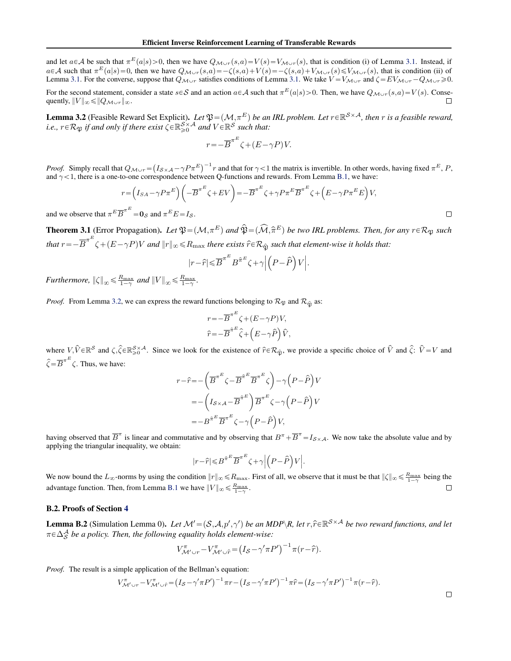<span id="page-8-0"></span>and let  $a \in A$  be such that  $\pi^{E}(a|s) > 0$ , then we have  $Q_{M \cup r}(s,a) = V(s) = V_{M \cup r}(s)$ , that is condition (i) of Lemma [3.1.](#page-1-0) Instead, if  $a \in \mathcal{A}$  such that  $\pi^E(a|s) = 0$ , then we have  $Q_{\mathcal{M}\cup r}(s,a) = -\zeta(s,a) + V(s) = -\zeta(s,a) + V_{\mathcal{M}\cup r}(s) \leq V_{\mathcal{M}\cup r}(s)$ , that is condition (ii) of Lemma [3.1.](#page-1-0) For the converse, suppose that  $Q_{\mathcal{M}\cup r}$  satisfies conditions of Lemma 3.1. We take  $V = V_{\mathcal{M}\cup r}$  and  $\zeta = EV_{\mathcal{M}\cup r} - Q_{\mathcal{M}\cup r} \ge 0$ .

For the second statement, consider a state  $s \in S$  and an action  $a \in A$  such that  $\pi^E(a|s) > 0$ . Then, we have  $Q_{\mathcal{M}_{\cup T}}(s,a) = V(s)$ . Consequently,  $||V||_{\infty} \leq ||Q_{\mathcal{M}\cup r}||_{\infty}$ .

**Lemma 3.2** (Feasible Reward Set Explicit). Let  $\mathfrak{P} = (\mathcal{M}, \pi^E)$  be an IRL problem. Let  $r \in \mathbb{R}^{\mathcal{S} \times \mathcal{A}}$ , then r is a feasible reward, *i.e.,*  $r \in \mathcal{R}_{\mathfrak{P}}$  *if and only if there exist*  $\zeta \in \mathbb{R}^S_{\geq 0}$  and  $V \in \mathbb{R}^S$  such that:

$$
r = -\overline{B}^{\pi^E} \zeta + (E - \gamma P)V.
$$

*Proof.* Simply recall that  $Q_{\mathcal{M}\cup r}$  =  $I_{\mathcal{S}\times\mathcal{A}}-\gamma P\pi^E$ )<sup>-1</sup> r and that for  $\gamma$  < 1 the matrix is invertible. In other words, having fixed  $\pi^E$ , P,

and 
$$
\gamma < 1
$$
, there is a one-to-one correspondence between Q-functions and rewards. From Lemma B.1, we have:  
\n
$$
r = \left(I_{SA} - \gamma P \pi^{E}\right) \left(-\overline{B}^{\pi^{E}} \zeta + EV\right) = -\overline{B}^{\pi^{E}} \zeta + \gamma P \pi^{E} \overline{B}^{\pi^{E}} \zeta + \left(E - \gamma P \pi^{E} E\right) V,
$$
\nand we observe that  $\pi^{E} \overline{D}^{\pi^{E}} = 0$  and  $\pi^{E} F$ .

 $\Box$ 

and we observe that  $\pi^E \overline{B}^{\pi^E} = 0_{\mathcal{S}}$  and  $\pi^E E = I_{\mathcal{S}}$ .

**Theorem 3.1** (Error Propagation). Let  $\mathfrak{P} = (\mathcal{M}, \pi^E)$  and  $\widehat{\mathfrak{P}} = (\widehat{\mathcal{M}}, \widehat{\pi}^E)$  be two IRL problems. Then, for any  $r \in \mathcal{R}_{\mathfrak{P}}$  such that  $r = -\overline{B}^{\pi^E} \zeta + (E - \gamma P)V$  and  $||r||_{\infty} \le R_{\text{max}}$  there exists  $\hat{r} \in \mathcal{R}_{\hat{\mathfrak{P}}}$  such that element-wise it holds that:

$$
|r\!-\!\hat{r}|\!\leqslant\!\overline{B}^{\pi^E}B^{\hat{\pi}^E}\zeta\!+\!\gamma\Big|\Big(P\!-\!\hat{P}\Big)V\Big|.
$$

*Furthermore,*  $\|\zeta\|_{\infty} \leq \frac{R_{\max}}{1-\gamma}$  and  $\|V\|_{\infty} \leq \frac{R_{\max}}{1-\gamma}$ .

*Proof.* From Lemma [3.2,](#page-1-0) we can express the reward functions belonging to  $\mathcal{R}_{\mathfrak{P}}$  and  $\mathcal{R}_{\hat{\mathfrak{P}}}$  as:

$$
\begin{split} & r\!=\!-\overline{B}^{\pi^E}\zeta\!+\!(E\!-\!\gamma P)V,\\ & \hat{r}\!=\!-\overline{B}^{\hat{\pi}^E}\hat{\zeta}\!+\!\left(E\!-\!\gamma\hat{P}\right)\!\hat{V}, \end{split}
$$

where  $V, \hat{V} \in \mathbb{R}^S$  and  $\zeta, \hat{\zeta} \in \mathbb{R}^{S \times A}_{\geq 0}$ . Since we look for the existence of  $\hat{r} \in \mathcal{R}_{\hat{\mathfrak{P}}}$ , we provide a specific choice of  $\hat{V}$  and  $\hat{\zeta}$ :  $\hat{V} = V$  and  $\widehat{\zeta} = \overline{B}^{\pi^E} \zeta$ . Thus, we have:

$$
r - \hat{r} = -\left(\overline{B}^{\pi^E} \zeta - \overline{B}^{\hat{\pi}^E} \overline{B}^{\pi^E} \zeta\right) - \gamma \left(P - \hat{P}\right) V
$$
  
= -\left(I\_{S \times A} - \overline{B}^{\hat{\pi}^E}\right) \overline{B}^{\pi^E} \zeta - \gamma \left(P - \hat{P}\right) V  
= -B^{\hat{\pi}^E} \overline{B}^{\pi^E} \zeta - \gamma \left(P - \hat{P}\right) V,

having observed that  $\overline{B}^{\pi}$  is linear and commutative and by observing that  $B^{\pi} + \overline{B}^{\pi} = I_{S \times A}$ . We now take the absolute value and by applying the triangular inequality, we obtain:

$$
|r-\widehat{r}|{\,\leqslant\,} B^{\widehat{\pi}^E} \overline{B}^{\pi^E} \zeta {+} \gamma \Big| \Big( P {-} \widehat{P} \Big) V \Big|.
$$

We now bound the  $L_{\infty}$ -norms by using the condition  $||r||_{\infty} \le R_{\max}$ . First of all, we observe that it must be that  $||\zeta||_{\infty} \le \frac{R_{\max}}{1-\gamma}$  being the advantage function. Then, from Lemma [B.1](#page-7-0) we have  $||V||_{\infty} \le \frac{R_{\text{max}}}{1-\gamma}$ .  $\Box$ 

#### B.2. Proofs of Section [4](#page-2-0)

**Lemma B.2** (Simulation Lemma 0). Let  $\mathcal{M}' = (\mathcal{S}, \mathcal{A}, p', \gamma')$  be an MDP\R, let  $r, \hat{r} \in \mathbb{R}^{\mathcal{S} \times \mathcal{A}}$  be two reward functions, and let  $\pi \in \Delta_S^{\mathcal{A}}$  *be a policy. Then, the following equality holds element-wise:* 

$$
V^{\pi}_{\mathcal{M}' \cup r} - V^{\pi}_{\mathcal{M}' \cup \hat{r}} = (I_{\mathcal{S}} - \gamma' \pi P')^{-1} \pi (r - \hat{r}).
$$

*Proof.* The result is a simple application of the Bellman's equation:

$$
V_{\mathcal{M}'\cup r}^{\pi} - V_{\mathcal{M}'\cup \hat{r}}^{\pi} = (I_S - \gamma'\pi P')^{-1} \pi r - (I_S - \gamma'\pi P')^{-1} \pi \hat{r} = (I_S - \gamma'\pi P')^{-1} \pi (r - \hat{r}).
$$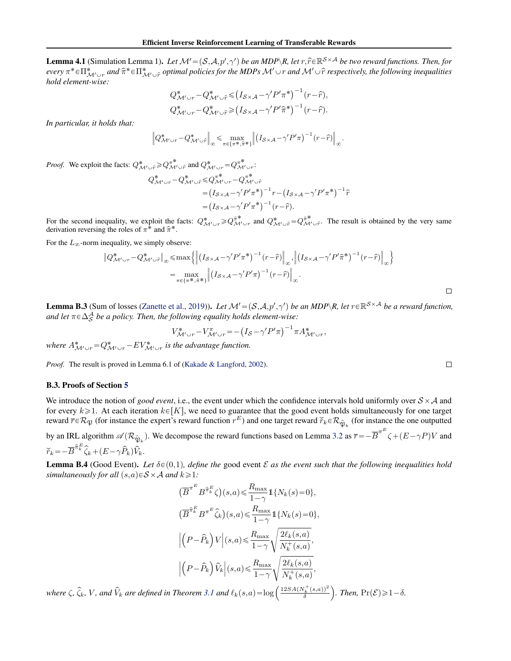<span id="page-9-0"></span>**Lemma 4.1** (Simulation Lemma 1). Let  $\mathcal{M} = (\mathcal{S}, \mathcal{A}, p', \gamma')$  be an MDP\R, let  $r, \hat{r} \in \mathbb{R}^{\mathcal{S} \times \mathcal{A}}$  be two reward functions. Then, for  $every \pi^* \in \Pi^*_{\mathcal{M}'\cup r}$  and  $\hat{\pi}^* \in \Pi^*_{\mathcal{M}'\cup \hat{r}}$  *optimal policies for the MDPs*  $\mathcal{M}'\cup r$  and  $\mathcal{M}'\cup \hat{r}$  *respectively, the following inequalities hold element-wise:*

$$
Q^*_{\mathcal{M}' \cup r} - Q^*_{\mathcal{M}' \cup \hat{r}} \leq (I_{\mathcal{S} \times \mathcal{A}} - \gamma' P' \pi^*)^{-1} (r - \hat{r}),
$$
  

$$
Q^*_{\mathcal{M}' \cup r} - Q^*_{\mathcal{M}' \cup \hat{r}} \geq (I_{\mathcal{S} \times \mathcal{A}} - \gamma' P' \hat{\pi}^*)^{-1} (r - \hat{r}).
$$

*In particular, it holds that:*

$$
\left\|Q^*_{\mathcal{M}' \cup r} - Q^*_{\mathcal{M}' \cup \hat{r}}\right\|_{\infty} \leqslant \max_{\pi \in \{\pi^\ast, \hat{\pi}^\ast\}} \left\|\left(I_{\mathcal{S} \times \mathcal{A}} - \gamma'P'\pi\right)^{-1}(r - \hat{r})\right\|_{\infty}.
$$

*Proof.* We exploit the facts:  $Q^*_{\mathcal{M}' \cup \hat{r}} \geq Q^{\pi^*}_{\mathcal{M}' \cup \hat{r}}$  and  $Q^*_{\mathcal{M}' \cup r} = Q^{\pi^*}_{\mathcal{M}' \cup r}$ .

$$
Q^*_{\mathcal{M}' \cup r} - Q^*_{\mathcal{M}' \cup \hat{r}} \leq Q^{\pi^*}_{\mathcal{M}' \cup r} - Q^{\pi^*}_{\mathcal{M}' \cup \hat{r}}
$$
  
=  $(I_{S \times A} - \gamma' P' \pi^*)^{-1} r - (I_{S \times A} - \gamma' P' \pi^*)^{-1} \hat{r}$   
=  $(I_{S \times A} - \gamma' P' \pi^*)^{-1} (r - \hat{r}).$ 

For the second inequality, we exploit the facts:  $Q^*_{\mathcal{M}' \cup r} \geq Q^{\hat{\pi}^*}_{\mathcal{M}' \cup r}$  and  $Q^*_{\mathcal{M}' \cup \hat{r}} = Q^{\hat{\pi}^*}_{\mathcal{M}' \cup \hat{r}}$ . The result is obtained by the very same derivation reversing the roles of  $\pi^*$  and  $\hat{\pi}^*$ .

For the  $L_{\infty}$ -norm inequality, we simply observe:<br>  $||Q^*_{\mathcal{M}' \cup r} - Q^*_{\mathcal{M}' \cup \hat{r}}||_{\infty} \le \max\{||q||_{\infty}$ 

$$
\|Q^*_{\mathcal{M}' \cup r} - Q^*_{\mathcal{M}' \cup \hat{r}}\|_{\infty} \le \max \left\{ \left\| \left( I_{S \times \mathcal{A}} - \gamma' P' \pi^* \right)^{-1} (r - \hat{r}) \right\|_{\infty}, \left\| \left( I_{S \times \mathcal{A}} - \gamma' P' \hat{\pi}^* \right)^{-1} (r - \hat{r}) \right\|_{\infty} \right\}
$$

$$
= \max_{\pi \in \{\pi^*, \hat{\pi}^* \}} \left\| \left( I_{S \times \mathcal{A}} - \gamma' P' \pi \right)^{-1} (r - \hat{r}) \right\|_{\infty}.
$$

**Lemma B.3** (Sum of losses [\(Zanette et al.,](#page-6-0) [2019\)](#page-6-0)). Let  $\mathcal{M} = (\mathcal{S}, \mathcal{A}, p', \gamma')$  be an MDP\R, let  $r \in \mathbb{R}^{\mathcal{S} \times \mathcal{A}}$  be a reward function, *and let*  $\pi \in \Delta_S^A$  *be a policy. Then, the following equality holds element-wise:*<br> $V^* = V^{\pi}$   $(I - I^{\prime}P^{\prime}-)^{-1}$ 

$$
V^*_{\mathcal{M}' \cup r} - V^{\pi}_{\mathcal{M}' \cup r} = -\left(I_{\mathcal{S}} - \gamma' P' \pi\right)^{-1} \pi A^*_{\mathcal{M}' \cup r},
$$

where  $A^*_{\mathcal{M}' \cup r}$  =  $Q^*_{\mathcal{M}' \cup r}$  –  $EV^*_{\mathcal{M}' \cup r}$  is the advantage function.

*Proof.* The result is proved in Lemma 6.1 of [\(Kakade & Langford,](#page-5-0) [2002\)](#page-5-0).

#### B.3. Proofs of Section [5](#page-2-0)

We introduce the notion of *good event*, i.e., the event under which the confidence intervals hold uniformly over  $S \times A$  and for every  $k\geq 1$ . At each iteration  $k\in[K]$ , we need to guarantee that the good event holds simultaneously for one target reward  $\vec{r} \in \mathcal{R}_{\mathfrak{P}}$  (for instance the expert's reward function  $r^E$ ) and one target reward  $\check{r}_k \in \mathcal{R}_{\hat{\mathfrak{P}}_k}$  (for instance the one outputted

by an IRL algorithm  $\mathscr{A}(\mathcal{R}_{\hat{\mathfrak{P}}_k})$ . We decompose the reward functions based on Lemma [3.2](#page-1-0) as  $\overline{r} = -\overline{B}^{\pi^E} \zeta + (E - \gamma P)V$  and  $\widetilde{r}_k \!=\! -\overline{B}^{\widehat{\pi}^E_k}\widehat{\zeta}_k \!+\! (E\!-\!\gamma \widehat{P}_k)\widehat{V}_k.$ 

**Lemma B.4** (Good Event). Let  $\delta \in (0,1)$ , define the good event  $\mathcal E$  as the event such that the following inequalities hold *simultaneously for all*  $(s,a) \in S \times A$  *and*  $k \ge 1$ *:* 

$$
\left(\overline{B}^{\pi^E} B^{\hat{\pi}_k^E} \zeta\right)(s, a) \leq \frac{R_{\max}}{1-\gamma} \mathbb{1}\{N_k(s) = 0\},
$$
\n
$$
\left(\overline{B}^{\hat{\pi}_k^E} B^{\pi^E} \widehat{\zeta}_k\right)(s, a) \leq \frac{R_{\max}}{1-\gamma} \mathbb{1}\{N_k(s) = 0\},
$$
\n
$$
\left| \left(P - \widehat{P}_k\right) V \right| (s, a) \leq \frac{R_{\max}}{1-\gamma} \sqrt{\frac{2\ell_k(s, a)}{N_k^+(s, a)}},
$$
\n
$$
\left| \left(P - \widehat{P}_k\right) \widehat{V}_k \right| (s, a) \leq \frac{R_{\max}}{1-\gamma} \sqrt{\frac{2\ell_k(s, a)}{N_k^+(s, a)}},
$$
\n
$$
\left| \left(P - \widehat{P}_k\right) \widehat{V}_k \right| (s, a) \leq \frac{R_{\max}}{1-\gamma} \sqrt{\frac{2\ell_k(s, a)}{N_k^+(s, a)}},
$$
\n
$$
\left| \left(P - \widehat{P}_k\right) \widehat{V}_k \right| (s, a) \leq \frac{R_{\max}}{1-\gamma} \sqrt{\frac{2\ell_k(s, a)}{N_k^+(s, a)}},
$$
\n
$$
\left| \left(P - \widehat{P}_k\right) \widehat{V}_k \right| (s, a) \leq \frac{R_{\max}}{1-\gamma} \sqrt{\frac{2\ell_k(s, a)}{N_k^+(s, a)}},
$$

*where*  $\zeta$ ,  $\widehat{\zeta}_k$ , *V*, and  $\widehat{V}_k$  are defined in Theorem [3.1](#page-1-0) and  $\ell_k(s,a) = \log \left( \frac{12SA(N_k^+(s,a))^2}{\delta} \right)$ δ *. Then,*  $\Pr(\mathcal{E}) \geq 1 - \delta$ *.*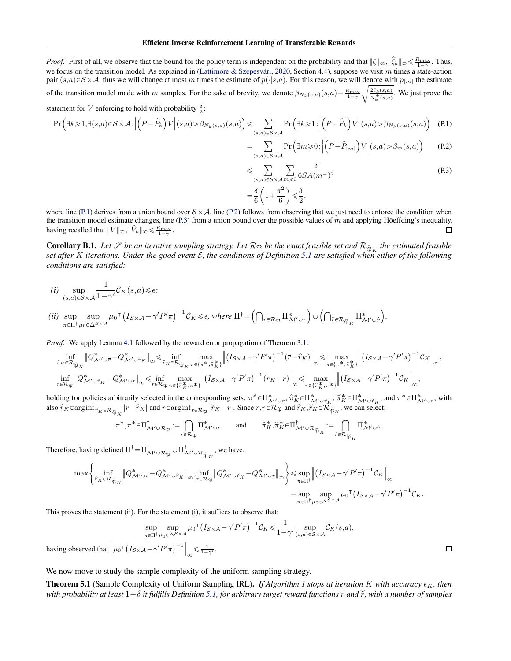<span id="page-10-0"></span>*Proof.* First of all, we observe that the bound for the policy term is independent on the probability and that  $\|\zeta\|_{\infty}, \|\hat{\zeta}_k\|_{\infty} \leq \frac{R_{\text{max}}}{1-\gamma}$ . Thus, we focus on the transition model. As explained in (Lattimore & Szepesvári, [2020,](#page-5-0) Section 4.4), suppose we visit m times a state-action pair  $(s, a) \in S \times A$ , thus we will change at most m times the estimate of  $p(\cdot|s, a)$ . For this reason, we will denote with  $p_{[m]}$  the estimate of the transition model made with m samples. For the sake of brevity, we denote  $\beta_{N_k(s,a)}(s,a) = \frac{R_{\text{max}}}{1-\gamma} \sqrt{\frac{2\ell_k(s,a)}{N_k^+(s,a)}}$ . We just prove the

statement for *V* enforcing to hold with probability 
$$
\frac{\delta}{2}
$$
:  
\n
$$
\Pr\left(\exists k \geqslant 1, \exists (s, a) \in S \times \mathcal{A}: \left| \left(P - \hat{P}_k\right)V \right| (s, a) > \beta_{N_k(s, a)}(s, a) \right| \leqslant \sum_{(s, a) \in S \times \mathcal{A}} \Pr\left(\exists k \geqslant 1: \left| \left(P - \hat{P}_k\right)V \right| (s, a) > \beta_{N_k(s, a)}(s, a) \right) \tag{P.1}
$$

$$
= \sum_{(s,a)\in S\times\mathcal{A}} \Pr\left(\exists m \geqslant 0\colon \left| \left(P - \widehat{P}_{[m]}\right) V \right| (s,a) > \beta_m(s,a) \right) \tag{P.2}
$$

ď ps,aqPSˆA mě0 δ 6SApm`q 2 (P.3) ˆ 2 ˙

$$
= \frac{\delta}{6}\left(1+\frac{\pi^2}{6}\right) \leqslant \frac{\delta}{2},
$$

where line (P.1) derives from a union bound over  $S \times A$ , line (P.2) follows from observing that we just need to enforce the condition when the transition model estimate changes, line (P.3) from a union bound over the possible values of  $m$  and applying Höeffding's inequality, having recalled that  $||V||_{\infty}$ ,  $||\hat{V}_k||_{\infty} \le \frac{R_{\text{max}}}{1-\gamma}$ .  $\Box$ 

**Corollary B.1.** Let  $\mathscr S$  be an iterative sampling strategy. Let  $\mathcal R_{\mathfrak P}$  be the exact feasible set and  $\mathcal R_{\hat\mathfrak{P}_K}$  the estimated feasible *set after* K *iterations. Under the good event* E*, the conditions of Definition [5.1](#page-2-0) are satisfied when either of the following conditions are satisfied:*

$$
(i) \ \sup_{(s,a)\in\mathcal{S}\times\mathcal{A}}\frac{1}{1-\gamma'}\mathcal{C}_K(s,a)\leq \epsilon;
$$

$$
\label{eq:3.1} \begin{split} (ii)\ \ \sup_{\pi\in\Pi^\dagger}\sup_{\mu_0\in\Delta^{\mathcal{S}\times\mathcal{A}}}\mu_0^{-\intercal}\Big(I_{\mathcal{S}\times\mathcal{A}}-\gamma'P'\pi\Big)^{-1}\mathcal{C}_K\leq\epsilon,\ \textit{where} \ \Pi^\dagger=\left(\bigcap_{r\in\mathcal{R}_\mathfrak{P}}\Pi^\ast_{\mathcal{M}'\cup r}\right)\cup\left(\bigcap_{\widehat{r}\in\mathcal{R}_{\widehat{\mathfrak{P}}_K}}\Pi^\ast_{\mathcal{M}'\cup\widehat{r}}\right). \end{split}
$$

*Proof.* We apply Lemma [4.1](#page-2-0) followed by the reward error propagation of Theorem [3.1:](#page-1-0)

$$
\inf_{\hat{r}_{K}\in\mathcal{R}_{\hat{\mathfrak{P}}_{K}}}\|\mathcal{Q}_{\mathcal{M}'\cup\tilde{r}}^{*}-\mathcal{Q}_{\mathcal{M}'\cup\hat{r}_{K}}^{*}\|_{\infty}\leq\inf_{\hat{r}_{K}\in\mathcal{R}_{\hat{\mathfrak{P}}_{K}}}\max_{\pi\in\{\overline{\pi}^{*},\hat{\pi}_{K}^{*}\}}\left\|\left(I_{\mathcal{S}\times\mathcal{A}}-\gamma'P'\pi\right)^{-1}\left(\overline{r}-\hat{r}_{K}\right)\right\|_{\infty}\leq\max_{\pi\in\{\overline{\pi}^{*},\hat{\pi}_{K}^{*}\}}\left\|\left(I_{\mathcal{S}\times\mathcal{A}}-\gamma'P'\pi\right)^{-1}\mathcal{C}_{K}\right\|_{\infty},
$$
\n
$$
\inf_{r\in\mathcal{R}_{\mathfrak{P}}}\|\mathcal{Q}_{\mathcal{M}'\cup\tilde{r}_{K}}^{*}-\mathcal{Q}_{\mathcal{M}'\cup r}^{*}\|_{\infty}\leq\inf_{r\in\mathcal{R}_{\mathfrak{P}}}\max_{\pi\in\{\tilde{\pi}_{K}^{*},\pi^{*}\}}\left\|\left(I_{\mathcal{S}\times\mathcal{A}}-\gamma'P'\pi\right)^{-1}\left(\overline{r}_{K}-r\right)\right\|_{\infty}\leq\max_{\pi\in\{\tilde{\pi}_{K}^{*},\pi^{*}\}}\left\|\left(I_{\mathcal{S}\times\mathcal{A}}-\gamma'P'\pi\right)^{-1}\mathcal{C}_{K}\right\|_{\infty},
$$

holding for policies arbitrarily selected in the corresponding sets:  $\pi^* \in \Pi^*_{\mathcal{M}' \cup \overline{r}}, \hat{\pi}_K^* \in \Pi^*_{\mathcal{M}' \cup \hat{r}_K}, \check{\pi}_K^* \in \Pi^*_{\mathcal{M}' \cup \check{r}_K}$ , and  $\pi^* \in \Pi^*_{\mathcal{M}' \cup r}$ , with also  $\hat{r}_K$   $\in$   $\text{arginf}_{\hat{r}_K \in \mathcal{R}_{\widehat{\mathfrak{P}}_K}} |\vec{r} - \hat{r}_K|$  and  $r \in$   $\text{arginf}_{r \in \mathcal{R}_{\mathfrak{P}}} |\check{r}_K - r|$ . Since  $\overline{r}, r \in \mathcal{R}_{\mathfrak{P}}}$  and  $\hat{r}_K$ ,  $\check{r}_K \in \mathcal{R}_{\widehat{\mathfrak{P}}_K}$ , we can select:

$$
\pi^*, \pi^* \in \Pi^{\dagger}_{\mathcal{M}' \cup \mathcal{R}_{\mathfrak{P}}} := \bigcap_{r \in \mathcal{R}_{\mathfrak{P}}} \Pi^*_{\mathcal{M}' \cup r} \qquad \text{and} \qquad \hat{\pi}_K^*, \check{\pi}_K^* \in \Pi^{\dagger}_{\mathcal{M}' \cup \mathcal{R}_{\widehat{\mathfrak{P}}_K}} := \bigcap_{\hat{r} \in \mathcal{R}_{\widehat{\mathfrak{P}}_K}} \Pi^*_{\mathcal{M}' \cup \hat{r}}.
$$

Therefore, having defined  $\Pi^{\dagger} = \Pi_{\mathcal{M}' \cup \mathcal{R}_{\mathfrak{P}}}^{\dagger} \cup \Pi_{\mathcal{M}' \cup \mathcal{R}_{\widehat{\mathfrak{P}}_K}}^{\dagger}$ , we have:

$$
\max \left\{ \inf_{\hat{r}_K \in \mathcal{R}_{\widehat{\mathfrak{P}}_K}} \|Q^*_{\mathcal{M}' \cup \overline{r}} - Q^*_{\mathcal{M}' \cup \hat{r}_K} \|_{\infty}, \inf_{r \in \mathcal{R}_{\mathfrak{P}}} \|Q^*_{\mathcal{M}' \cup \check{r}_K} - Q^*_{\mathcal{M}' \cup r} \|_{\infty} \right\} \le \sup_{\pi \in \Pi^{\dagger}} \left\| (I_{S \times \mathcal{A}} - \gamma' P' \pi)^{-1} C_K \right\|_{\infty}
$$

$$
= \sup_{\pi \in \Pi^{\dagger}} \sup_{\mu_0 \in \Delta^{S \times \mathcal{A}}} \mu_0^{\dagger} (I_{S \times \mathcal{A}} - \gamma' P' \pi)^{-1} C_K.
$$

This proves the statement (ii). For the statement (i), it suffices to observe that:

$$
\sup_{\pi \in \Pi^{\dagger} \mu_0 \in \Delta^S \times \mathcal{A}} \sup_{\mathbf{g} \in \Pi^{\dagger} \mu_0 \in \Delta^S \times \mathcal{A}} \mu_0^{\mathsf{T}} \left( I_{S \times \mathcal{A}} - \gamma' P' \pi \right)^{-1} C_K \leq \frac{1}{1 - \gamma'} \sup_{(s, a) \in S \times \mathcal{A}} C_K(s, a),
$$

having observed that  $\|\mu_0^\intercal\|$  $I_{S\times A}-\gamma'P'\pi\big)^{-1}\bigg\|_{\infty}\leq \frac{1}{1-\gamma'}.$ 

We now move to study the sample complexity of the uniform sampling strategy.

**Theorem 5.[1](#page-3-0)** (Sample Complexity of Uniform Sampling IRL). *If Algorithm 1 stops at iteration K with accuracy*  $\epsilon_K$ , then *with probability at least*  $1-\delta$  *it fulfills Definition* [5.1,](#page-2-0) *for arbitrary target reward functions*  $\bar{r}$  *and*  $\tilde{r}$ *, with a number of samples*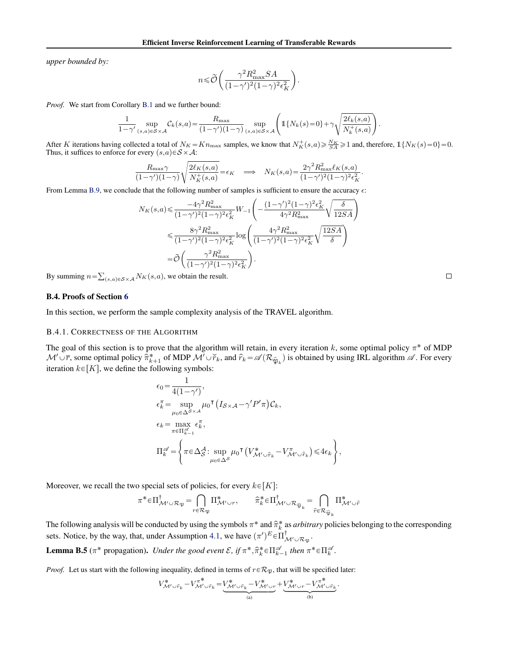<span id="page-11-0"></span>*upper bounded by:*

$$
n \leq \widetilde{\mathcal{O}}\left(\frac{\gamma^2 R_{\text{max}}^2 SA}{(1 - \gamma')^2 (1 - \gamma)^2 \epsilon_K^2}\right).
$$

*Proof.* We start from Corollary [B.1](#page-10-0) and we further bound:

$$
\frac{1}{1-\gamma'}\sup_{(s,a)\in S\times\mathcal{A}}\mathcal{C}_k(s,a) = \frac{R_{\max}}{(1-\gamma')(1-\gamma)}\sup_{(s,a)\in S\times\mathcal{A}}\left(\mathbb{1}\{N_k(s)=0\}+\gamma\sqrt{\frac{2\ell_k(s,a)}{N_k^+(s,a)}}\right)
$$

After K iterations having collected a total of  $N_K = Kn_{\text{max}}$  samples, we know that  $N_K^+(s, a) \ge \frac{N_K}{SA} \ge 1$  and, therefore,  $\mathbb{1}{N_K(s) = 0} = 0$ . Thus, it suffices to enforce for every  $(s,a) \in S \times A$ :

$$
\frac{R_{\max}\gamma}{(1-\gamma')(1-\gamma)}\sqrt{\frac{2\ell_K(s,a)}{N_K^+(s,a)}} = \epsilon_K \quad \Longrightarrow \quad N_K(s,a) = \frac{2\gamma^2 R_{\max}^2 \ell_K(s,a)}{(1-\gamma')^2 (1-\gamma)^2 \epsilon_K^2}
$$

From Lemma [B.9,](#page-14-0) we conclude that the following number of samples is sufficient to ensure the accuracy  $\epsilon$ :

$$
N_K(s, a) \le \frac{-4\gamma^2 R_{\text{max}}^2}{(1 - \gamma')^2 (1 - \gamma)^2 \epsilon_K^2} W_{-1} \left( -\frac{(1 - \gamma')^2 (1 - \gamma)^2 \epsilon_K^2}{4\gamma^2 R_{\text{max}}^2} \sqrt{\frac{\delta}{12SA}} \right)
$$
  

$$
\le \frac{8\gamma^2 R_{\text{max}}^2}{(1 - \gamma')^2 (1 - \gamma)^2 \epsilon_K^2} \log \left( \frac{4\gamma^2 R_{\text{max}}^2}{(1 - \gamma')^2 (1 - \gamma)^2 \epsilon_K^2} \sqrt{\frac{12SA}{\delta}} \right)
$$
  

$$
= \widetilde{\mathcal{O}} \left( \frac{\gamma^2 R_{\text{max}}^2}{(1 - \gamma')^2 (1 - \gamma)^2 \epsilon_K^2} \right).
$$

By summing  $n =$  $(s,a) \in S \times A$   $N_K(s,a)$ , we obtain the result.

#### B.4. Proofs of Section [6](#page-3-0)

In this section, we perform the sample complexity analysis of the TRAVEL algorithm.

#### B.4.1. CORRECTNESS OF THE ALGORITHM

The goal of this section is to prove that the algorithm will retain, in every iteration k, some optimal policy  $\pi^*$  of MDP  $\mathcal{M}' \cup \overline{r}$ , some optimal policy  $\hat{\pi}_{k+1}^*$  of MDP  $\mathcal{M}' \cup \check{r}_k$ , and  $\hat{r}_k = \mathscr{A}(\mathcal{R}_{\hat{\mathfrak{P}}_k})$  is obtained by using IRL algorithm  $\mathscr{A}$ . For every iteration  $k \in [K]$ , we define the following symbols:

$$
\epsilon_0 = \frac{1}{4(1-\gamma')},
$$
\n
$$
\epsilon_k^{\pi} = \sup_{\mu_0 \in \Delta^{S \times A}} \mu_0^{\mathsf{T}} \left( I_{S \times A} - \gamma' P' \pi \right) C_k,
$$
\n
$$
\epsilon_k = \max_{\pi \in \Pi_{k-1}^{\mathscr{A}}} \epsilon_k^{\pi},
$$
\n
$$
\Pi_k^{\mathscr{A}} = \left\{ \pi \epsilon \Delta_S^A : \sup_{\mu_0 \in \Delta^S} \mu_0^{\mathsf{T}} \left( V_{\mathcal{M}' \cup \hat{r}_k}^* - V_{\mathcal{M}' \cup \hat{r}_k}^{\pi} \right) \leq 4\epsilon_k \right\},
$$

Moreover, we recall the two special sets of policies, for every  $k \in [K]$ :

$$
\pi^* \in \Pi^{\dagger}_{\mathcal{M}' \cup \mathcal{R}_{\mathfrak{P}}} = \bigcap_{r \in \mathcal{R}_{\mathfrak{P}}} \Pi^*_{\mathcal{M}' \cup r}, \qquad \widehat{\pi}_k^* \in \Pi^{\dagger}_{\mathcal{M}' \cup \mathcal{R}_{\widehat{\mathfrak{P}}_k}} = \bigcap_{\widehat{r} \in \mathcal{R}_{\widehat{\mathfrak{P}}_k}} \Pi^*_{\mathcal{M}' \cup \widehat{r}}
$$

The following analysis will be conducted by using the symbols  $\pi^*$  and  $\hat{\pi}_k^*$  as *arbitrary* policies belonging to the corresponding sets. Notice, by the way, that, under Assumption [4.1,](#page-2-0) we have  $(\pi')^E \in \prod_{\mathcal{M}' \cup \mathcal{R}_{\mathfrak{P}}}^{\dagger}$ .

**Lemma B.5** ( $\pi^*$  propagation). *Under the good event*  $\mathcal{E}$ , if  $\pi^*, \hat{\pi}_k^* \in \Pi_{k-1}^{\mathscr{A}}$  *then*  $\pi^* \in \Pi_k^{\mathscr{A}}$ .

*Proof.* Let us start with the following inequality, defined in terms of  $r \in \mathcal{R}_{\mathfrak{P}}$ , that will be specified later:

$$
V_{\mathcal{M}'\cup\hat{r}_k}^* - V_{\mathcal{M}'\cup\hat{r}_k}^{\pi^*} = \underbrace{V_{\mathcal{M}'\cup\hat{r}_k}^* - V_{\mathcal{M}'\cup r}^*}_{\text{(a)}} + \underbrace{V_{\mathcal{M}'\cup r}^* - V_{\mathcal{M}'\cup\hat{r}_k}^{\pi^*}}_{\text{(b)}}.
$$

 $\Box$ 

.

.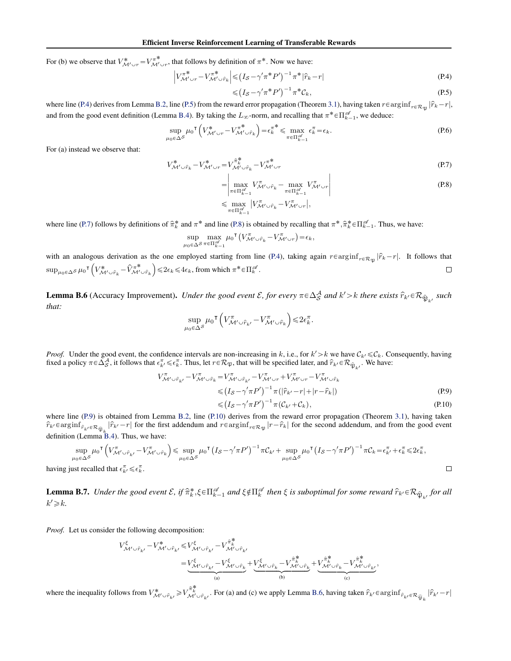<span id="page-12-0"></span>For (b) we observe that  $V^*_{\mathcal{M}' \cup r} = V^{\pi^*}_{\mathcal{M}' \cup r}$ , that follows by definition of  $\pi^*$ . Now we have:

$$
\left|V_{\mathcal{M}'\cup r}^{\pi^*} - V_{\mathcal{M}'\cup\hat{r}_k}^{\pi^*}\right| \leq (I_S - \gamma'\pi^*P')^{-1}\pi^*|\hat{r}_k - r| \tag{P.4}
$$

$$
\leq (I_S - \gamma' \pi^* P')^{-1} \pi^* C_k,\tag{P.5}
$$

where line (P.4) derives from Lemma [B.2,](#page-8-0) line (P.5) from the reward error propagation (Theorem [3.1\)](#page-1-0), having taken  $r \in \arginf_{r \in \mathcal{R}_{\mathfrak{P}}} |\hat{r}_k - r|$ , and from the good event definition (Lemma [B.4\)](#page-9-0). By taking the  $L_{\infty}$ -norm, and recalling that  $\pi^* \in \Pi_{k=1}^{\infty}$ , we deduce:

$$
\sup_{\mu_0 \in \Delta S} \mu_0^{\mathsf{T}} \left( V_{\mathcal{M}' \cup r}^* - V_{\mathcal{M}' \cup \hat{r}_k}^{\pi^*} \right) = \epsilon_k^{\pi^*} \leq \max_{\pi \in \Pi_{k-1}^{\mathscr{A}}} \epsilon_k^{\pi} = \epsilon_k.
$$
\n(P.6)

For (a) instead we observe that:

$$
V^*_{\mathcal{M}' \cup \hat{r}_k} - V^*_{\mathcal{M}' \cup r} = V^{\hat{\pi}^*}_{\mathcal{M}' \cup \hat{r}_k} - V^{\pi^*}_{\mathcal{M}' \cup r}
$$
\n
$$
(P.7)
$$

$$
= \left| \max_{\pi \in \Pi_{k-1}^{\mathscr{A}}} V_{\mathcal{M}' \cup \hat{r}_k}^{\pi} - \max_{\pi \in \Pi_{k-1}^{\mathscr{A}}} V_{\mathcal{M}' \cup r}^{\pi} \right|
$$
  
\n
$$
\leq \max_{\pi \in \Pi_{k-1}^{\mathscr{A}}} |V_{\mathcal{M}' \cup \hat{r}_k}^{\pi} - V_{\mathcal{M}' \cup r}^{\pi}|,
$$
\n(P.8)

where line (P.7) follows by definitions of  $\hat{\pi}_k^*$  and  $\pi^*$  and line (P.8) is obtained by recalling that  $\pi^*, \hat{\pi}_k^* \in \Pi_{k-1}^{\mathscr{A}}$ . Thus, we have:

$$
\sup_{\mu_0 \in \Delta S} \max_{\pi \in \Pi_{k-1}^{\mathscr{A}}} \mu_0^{\mathsf{T}} \left( V^{\pi}_{\mathcal{M}' \cup \hat{r}_k} - V^{\pi}_{\mathcal{M}' \cup r} \right) = \epsilon_k,
$$

with an analogous derivation as the one employed starting from line (P.4), taking again  $r \in \arginf_{r \in \mathcal{R}_{\mathfrak{P}}} |\hat{r}_k - r|$ . It follows that  $\sup_{\mu_0 \in \Delta S} \mu_0^{\intercal} \left( V_{\mathcal{M}' \cup \hat{r}_k}^* - \hat{V}_{\mathcal{M}' \cup \hat{r}_k}^{\pi^*} \right) \leq 2\epsilon_k \leq 4\epsilon_k$ , from which  $\pi^* \in \Pi_k^{\mathscr{A}}$ .  $\Box$ 

**Lemma B.6** (Accuracy Improvement). *Under the good event*  $\mathcal{E}$ , for every  $\pi \in \Delta_S^A$  and  $k' > k$  there exists  $\hat{r}_{k'} \in \mathcal{R}_{\hat{\mathfrak{P}}_{k'}}$  such *that:*

$$
\sup_{\mu_0 \in \Delta^S} \mu_0^{\mathsf{T}} \left( V^{\pi}_{\mathcal{M}' \cup \hat{r}_{k'}} - V^{\pi}_{\mathcal{M}' \cup \hat{r}_k} \right) \leq 2\epsilon_k^{\pi}.
$$

*Proof.* Under the good event, the confidence intervals are non-increasing in k, i.e., for  $k' > k$  we have  $C_{k'} \leq C_k$ . Consequently, having fixed a policy  $\pi \in \Delta_S^{\mathcal{A}}$ , it follows that  $\epsilon_{k'}^{\pi} \leq \epsilon_k^{\pi}$ . Thus, let

$$
V_{\mathcal{M}'\cup\hat{r}_{k'}}^{\pi} - V_{\mathcal{M}'\cup\hat{r}_{k}}^{\pi} = V_{\mathcal{M}'\cup\hat{r}_{k'}}^{\pi} - V_{\mathcal{M}'\cup r}^{\pi} + V_{\mathcal{M}'\cup r}^{\pi} - V_{\mathcal{M}'\cup\hat{r}_{k}}^{\pi}
$$
  
\n
$$
\leq (I_{\mathcal{S}} - \gamma' \pi P')^{-1} \pi(|\hat{r}_{k'} - r| + |r - \hat{r}_{k}|)
$$
  
\n
$$
\leq (I_{\mathcal{S}} - \gamma' \pi P')^{-1} \pi(|\hat{r}_{k'} - r| + |r - \hat{r}_{k}|)
$$
 (P.9)

$$
\leqslant (I_{\mathcal{S}} - \gamma' \pi P')^{-1} \pi (\mathcal{C}_{k'} + \mathcal{C}_k), \tag{P.10}
$$

where line (P.9) is obtained from Lemma [B.2,](#page-8-0) line (P.10) derives from the reward error propagation (Theorem [3.1\)](#page-1-0), having taken  $\hat{r}_{k'} \in \text{arginf}_{\hat{r}_{k'} \in \mathcal{R}_{\widehat{\mathfrak{P}}_k}} |\hat{r}_{k'} - r|$  for the first addendum and  $r \in \text{arginf}_{r \in \mathcal{R}_{\mathfrak{P}}} |r - \hat{r}_k|$  for the second addendum, and from the good event definition (Lemma [B.4\)](#page-9-0). Thus, we have:

$$
\sup_{\mu_0 \in \Delta S} \mu_0^{\mathsf{T}} \left( V_{\mathcal{M}' \cup \hat{r}_{k'}}^{\pi} - V_{\mathcal{M}' \cup \hat{r}_k}^{\pi} \right) \leq \sup_{\mu_0 \in \Delta S} \mu_0^{\mathsf{T}} \left( I_S - \gamma' \pi P' \right)^{-1} \pi C_{k'} + \sup_{\mu_0 \in \Delta S} \mu_0^{\mathsf{T}} \left( I_S - \gamma' \pi P' \right)^{-1} \pi C_k = \epsilon_{k'}^{\pi} + \epsilon_k^{\pi} \leq 2\epsilon_k^{\pi},
$$
\nust recalled that  $\epsilon_{k'}^{\pi} \leq \epsilon_k^{\pi}$ .

having just recalled that  $\epsilon_{k'}^{\pi} \leq \epsilon_k^{\pi}$ .

**Lemma B.7.** Under the good event  $\mathcal{E}$ , if  $\hat{\pi}_k^*, \xi \in \Pi_{k-1}^{\mathscr{A}}$  and  $\xi \notin \Pi_k^{\mathscr{A}}$  then  $\xi$  is suboptimal for some reward  $\hat{r}_{k'} \in \mathcal{R}_{\hat{\mathfrak{P}}_{k'}}$  for all  $k' \geqslant k$ .

*Proof.* Let us consider the following decomposition:

$$
\begin{aligned} V_{\mathcal{M}'\cup\hat{r}_{k'}}^{\xi} - V_{\mathcal{M}'\cup\hat{r}_{k'}}^{\ast} \leq & V_{\mathcal{M}'\cup\hat{r}_{k'}}^{\xi} - V_{\mathcal{M}'\cup\hat{r}_{k'}}^{\hat{\pi}^{\ast}_k} \\ = & \underbrace{V_{\mathcal{M}'\cup\hat{r}_{k'}}^{\xi} - V_{\mathcal{M}'\cup\hat{r}_{k}}^{\xi}}_{\mathrm{(a)}} + \underbrace{V_{\mathcal{M}'\cup\hat{r}_{k}}^{\xi} - V_{\mathcal{M}'\cup\hat{r}_{k}}^{\hat{\pi}^{\ast}_k} + V_{\mathcal{M}'\cup\hat{r}_{k}}^{\hat{\pi}^{\ast}_k} - V_{\mathcal{M}'\cup\hat{r}_{k'}}^{\hat{\pi}^{\ast}_k}, \\ \end{aligned}
$$

where the inequality follows from  $V^*_{\mathcal{M}' \cup \hat{r}_{k'}} \geq V_{\mathcal{M}' \cup \hat{r}_{k'}}^{\hat{\pi}^*_{k}}$ . For (a) and (c) we apply Lemma B.6, having taken  $\hat{r}_{k'} \in \arginf_{\hat{r}_{k'}} \in \arginf_{\hat{r}_{k'}} = r | \hat{r}_{k'} - r |$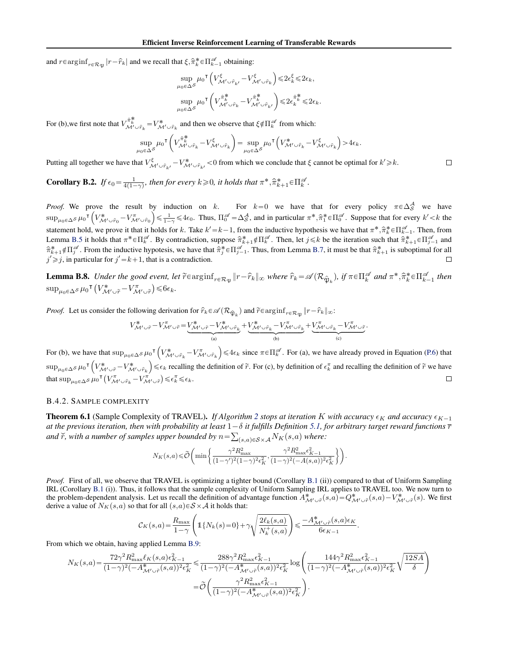<span id="page-13-0"></span>and  $r \in \text{arginf}_{r \in \mathcal{R}_{\mathfrak{P}}} |r - \hat{r}_k|$  and we recall that  $\xi, \hat{\pi}_k^* \in \Pi_{k-1}^{\mathscr{A}}$  obtaining:

$$
\label{eq:4.1} \begin{split} & \sup_{\mu_0 \in \Delta \mathcal{S}} \mu_0{}^\mathsf{T} \left( V_{\mathcal{M}^\prime \cup \hat{r}_{k^\prime}}^\xi - V_{\mathcal{M}^\prime \cup \hat{r}_k}^\xi \right) { \leq } 2 \epsilon_k^\xi { \leq } 2 \epsilon_k, \\ & \sup_{\mu_0 \in \Delta \mathcal{S}} \mu_0{}^\mathsf{T} \left( V_{\mathcal{M}^\prime \cup \hat{r}_k}^{\hat{\pi}^\#_k} - V_{\mathcal{M}^\prime \cup \hat{r}_{k^\prime}}^{\hat{\pi}^\#_k} \right) { \leq } 2 \epsilon_k^{\hat{\pi}^\#_k} { \leq } 2 \epsilon_k. \end{split}
$$

For (b), we first note that  $V_{\mathcal{M}' \cup \hat{r}_k}^{\hat{\pi}_k^*} = V_{\mathcal{M}' \cup \hat{r}_k}^*$  and then we observe that  $\xi \notin \Pi_k^{\mathscr{A}}$  from which:

$$
\sup_{\mu_0 \in \Delta S} \mu_0^{\mathsf{T}} \left( V_{\mathcal{M}^{\prime} \cup \hat{r}_k}^{\hat{\pi}_k^*} - V_{\mathcal{M}^{\prime} \cup \hat{r}_k}^{\xi} \right) = \sup_{\mu_0 \in \Delta S} \mu_0^{\mathsf{T}} \left( V_{\mathcal{M}^{\prime} \cup \hat{r}_k}^* - V_{\mathcal{M}^{\prime} \cup \hat{r}_k}^{\xi} \right) > 4\epsilon_k.
$$

Putting all together we have that  $V_{\mathcal{M}' \cup \hat{r}_{k'}}^{\xi} - V_{\mathcal{M}' \cup \hat{r}_{k'}}^* < 0$  from which we conclude that  $\xi$  cannot be optimal for  $k' \ge k$ .

**Corollary B.2.** If  $\epsilon_0 = \frac{1}{4(1-\gamma)}$ , then for every  $k \ge 0$ , it holds that  $\pi^*, \hat{\pi}_{k+1}^* \in \Pi_k^{\mathscr{A}}$ .

*Proof.* We prove the result by induction on k. For  $k=0$  we have that for every policy  $\pi \in \Delta_S^A$  we have  $\sup_{\mu_0 \in \Delta S} \mu_0^{\intercal} \left( V^*_{\mathcal{M}' \cup \hat{r}_0} - V^{\pi}_{\mathcal{M}' \cup \hat{r}_0} \right) \leq \frac{1}{1-\gamma} \leq 4\epsilon_0$ . Thus,  $\Pi_0^{\mathscr{A}} = \Delta_S^{\mathcal{A}}$ , and in particular  $\pi^*, \hat{\pi}_1^* \in \Pi_0^{\mathscr{A}}$ . Suppose that for every  $k' < k$  the statement hold, we prove it that it holds for k. Take  $k'=k-1$ , from the inductive hypothesis we have that  $\pi^*, \hat{\pi}_k^* \in \Pi_{k-1}^{\mathscr{A}}$ . Then, from Lemma [B.5](#page-11-0) it holds that  $\pi^* \in \Pi_k^{\mathscr A}$ . By contradiction, suppose  $\hat{\pi}_{k+1}^* \notin \Pi_k^{\mathscr A}$ . Then, let  $j \leq k$  be the iteration such that  $\hat{\pi}_{k+1}^* \in \Pi_{j-1}^{\mathscr A}$  and  $\hat{\pi}_{k+1}^* \notin \Pi_j^{\mathscr{A}}$ . From the inductive hypotesis, we have that  $\hat{\pi}_j^* \in \Pi_{j-1}^{\mathscr{A}}$ . Thus, from Lemma [B.7,](#page-12-0) it must be that  $\hat{\pi}_{k+1}^*$  is suboptimal for all  $j' \geq j$ , in particular for  $j' = k+1$ , that is a contradiction.

**Lemma B.8.** Under the good event, let  $\widetilde{r} \in \arg\inf_{r \in \mathcal{R}_{\mathfrak{P}}} ||r - \widehat{r}_k||_{\infty}$  where  $\widehat{r}_k = \mathscr{A}(\mathcal{R}_{\widehat{\mathfrak{P}}_k})$ , if  $\pi \in \Pi_k^{\mathscr{A}}$  and  $\pi^*, \widehat{\pi}_k^* \in \Pi_{k-1}^{\mathscr{A}}$  then  $\sup_{\mu_0 \in \Delta} s \mu_0 \mathsf{I}\left(V_{\mathcal{M}' \cup \tilde{r}}^* - V_{\mathcal{M}' \cup \tilde{r}}^{\pi}\right) \leq 6\epsilon_k.$ 

*Proof.* Let us consider the following derivation for  $\hat{r}_k \in \mathcal{A}(\mathcal{R}_{\hat{\mathfrak{P}}_k})$  and  $\tilde{r} \in \arg\inf_{r \in \mathcal{R}_{\hat{\mathfrak{P}}}} \|r - \hat{r}_k\|_{\infty}$ :

$$
V^*_{\mathcal{M}'\cup \hat{r}} - V^{\pi}_{\mathcal{M}'\cup \hat{r}} = \underbrace{V^*_{\mathcal{M}'\cup \hat{r}} - V^*_{\mathcal{M}'\cup \hat{r}_k}}_{\text{(a)}} + \underbrace{V^*_{\mathcal{M}'\cup \hat{r}_k} - V^{\pi}_{\mathcal{M}'\cup \hat{r}_k}}_{\text{(b)}} + \underbrace{V^{\pi}_{\mathcal{M}'\cup \hat{r}_k} - V^{\pi}_{\mathcal{M}'\cup \hat{r}}}_{\text{(c)}}.
$$

For (b), we have that  $\sup_{\mu_0 \in \Delta S} \mu_0 \int \left( V^*_{\mathcal{M}' \cup \hat{r}_k} - V^{\pi}_{\mathcal{M}' \cup \hat{r}_k} \right) \leq 4\epsilon_k$  since  $\pi \in \Pi^{\mathcal{A}}_k$ . For (a), we have already proved in Equation [\(P.6\)](#page-12-0) that  $\sup_{\mu_0 \in \Delta S} \mu_0^{\intercal} \left( V^*_{\mathcal{M}' \cup \tilde{r}} - V^*_{\mathcal{M}' \cup \hat{r}_k} \right) \leq \epsilon_k$  recalling the definition of  $\tilde{r}$ . For (c), by definition of  $\epsilon_k^{\pi}$  and recalling the definition of  $\tilde{r}$  we have that  $\sup_{\mu_0 \in \Delta S} \mu_0^{\mathsf{T}} \left( V^{\pi}_{\mathcal{M}' \cup \hat{r}_k} - V^{\pi'}_{\mathcal{M}' \cup \hat{r}} \right) \leq \epsilon_k^{\pi} \leq \epsilon_k$ .  $\Box$ 

#### B.4.2. SAMPLE COMPLEXITY

**Theorem 6.1** (Sample Complexity of TRAVEL). *If Algorithm [2](#page-3-0) stops at iteration K with accuracy*  $\epsilon_K$  *and accuracy*  $\epsilon_{K-1}$ at the previous iteration, then with probability at least  $1{-}\delta$  it fulfills Definition [5.1,](#page-2-0) for arbitrary target reward functions  $\overline{r}$ and  $\widetilde{r}$ , with a number of samples upper bounded by  $n = \sum_{(s,a) \in S \times A} N_K(s,a)$  where:

$$
N_K(s, a) \leq \tilde{\mathcal{O}}\left(\min\left\{\frac{\gamma^2 R_{\text{max}}^2}{(1-\gamma')^2(1-\gamma)^2\epsilon_K^2}, \frac{\gamma^2 R_{\text{max}}^2\epsilon_{K-1}^2}{(1-\gamma)^2(-A(s, a))^2\epsilon_K^2}\right\}\right)
$$

.

*Proof.* First of all, we observe that TRAVEL is optimizing a tighter bound (Corollary [B.1](#page-10-0) (ii)) compared to that of Uniform Sampling IRL (Corollary [B.1](#page-10-0) (i)). Thus, it follows that the sample complexity of Uniform Sampling IRL applies to TRAVEL too. We now turn to the problem-dependent analysis. Let us recall the definition of advantage function  $A^*_{\mathcal{M}' \cup \tilde{r}}(s,a) = Q^*_{\mathcal{M}' \cup \tilde{r}}(s,a) - V^*_{\mathcal{M}' \cup \tilde{r}}(s)$ . We first derive a value of  $N_K(s,a)$  so that for all  $(s,a) \in S \times A$  it holds that:

$$
\mathcal{C}_K(s,a) = \frac{R_{\max}}{1-\gamma} \left( \mathbb{1}\{N_k(s) = 0\} + \gamma \sqrt{\frac{2\ell_k(s,a)}{N_k^+(s,a)}} \right) \leqslant \frac{-A^*_{\mathcal{M}' \cup \tilde{r}}(s,a) \epsilon_K}{6\epsilon_{K-1}}.
$$

From which we obtain, having applied Lemma [B.9:](#page-14-0)

$$
N_K(s,a) = \frac{72\gamma^2 R_{\text{max}}^2 \ell_K(s,a) \epsilon_{K-1}^2}{(1-\gamma)^2 (-A_{\mathcal{M}'\cup\tilde{r}}^*(s,a))^2 \epsilon_K^2} \le \frac{288\gamma^2 R_{\text{max}}^2 \epsilon_{K-1}^2}{(1-\gamma)^2 (-A_{\mathcal{M}'\cup\tilde{r}}^*(s,a))^2 \epsilon_K^2} \log\left(\frac{144\gamma^2 R_{\text{max}}^2 \epsilon_{K-1}^2}{(1-\gamma)^2 (-A_{\mathcal{M}'\cup\tilde{r}}^*(s,a))^2 \epsilon_K^2}\sqrt{\frac{12SA}{\delta}}\right)
$$

$$
= \widetilde{\mathcal{O}}\left(\frac{\gamma^2 R_{\text{max}}^2 \epsilon_{K-1}^2}{(1-\gamma)^2 (-A_{\mathcal{M}'\cup\tilde{r}}^*(s,a))^2 \epsilon_K^2}\right).
$$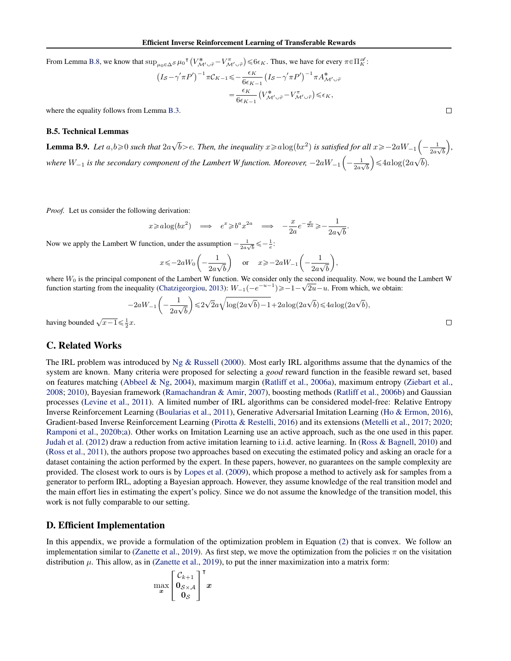<span id="page-14-0"></span>From Lemma [B.8,](#page-13-0) we know that  $\sup_{\mu_0 \in \Delta S} \mu_0^{\dagger}$  $V^\ast_{\mathcal{M}'\cup\widetilde{r}}-V^\pi_{\mathcal{M}'\cup\widetilde{r}}$  $\psi_{\mu_0 \in \Delta S} \mu_0^{\mathsf{T}} \left( V_{\mathcal{M}' \cup \tilde{r}}^* - V_{\mathcal{M}' \cup \tilde{r}}^{\pi} \right) \leq 6\epsilon_K$ . Thus, we have for every  $\pi \in \Pi_K^{\mathscr{A}}$ :

$$
I_S - \gamma' \pi P' \rbrack^{-1} \pi C_{K-1} \leq -\frac{\epsilon_K}{6\epsilon_{K-1}} \left( I_S - \gamma' \pi P' \right)^{-1} \pi A_{\mathcal{M}' \cup \tilde{r}}^*
$$
  

$$
= \frac{\epsilon_K}{6\epsilon_{K-1}} \left( V_{\mathcal{M}' \cup \tilde{r}}^* - V_{\mathcal{M}' \cup \tilde{r}}^{\pi} \right) \leq \epsilon_K,
$$

where the equality follows from Lemma [B.3.](#page-9-0)

#### B.5. Technical Lemmas

**Lemma B.9.** Let  $a, b \ge 0$  such that  $2a\sqrt{b} > e$ . Then, the inequality  $x \ge a\log(bx^2)$  is satisfied for all  $x \ge -2aW_{-1}\left(-\frac{1}{2a} + \frac{1}{2a}\right)$ *ed for all*  $x \ge -2aW_{-1}\left(-\frac{1}{2a\sqrt{b}}\right)$ , where  $W_{-1}$  is the secondary component of the Lambert W function. Moreover,  $-2aW_{-1}\left(-\frac{1}{2a}\right)$  $\left(\frac{1}{2a\sqrt{b}}\right) \leqslant 4a\log(2a\sqrt{b}).$ 

*Proof.* Let us consider the following derivation:

$$
x \ge a \log(bx^2) \implies e^x \ge b^a x^{2a} \implies -\frac{x}{2a} e^{-\frac{x}{2a}} \ge -\frac{1}{2a\sqrt{b}}.
$$

Now we apply the Lambert W function, under the assumption  $-\frac{1}{2a\sqrt{b}} \leq -\frac{1}{e}$ :

$$
x \leqslant -2aW_0\left(-\frac{1}{2a\sqrt{b}}\right) \quad \text{or} \quad x \geqslant -2aW_{-1}\left(-\frac{1}{2a\sqrt{b}}\right),
$$

where  $W_0$  is the principal component of the Lambert W function. We consider only the second inequality. Now, we bound the Lambert W where  $W_0$  is the principal component of the Lambert w function. We consider only the second inequality. Now, we bound<br>function starting from the inequality [\(Chatzigeorgiou,](#page-5-0) [2013\)](#page-5-0):  $W_{-1}(-e^{-u-1}) \ge -1 - \sqrt{2u} - u$ . From which

$$
-2aW_{-1}\left(-\frac{1}{2a\sqrt{b}}\right) \leq 2\sqrt{2}a\sqrt{\log(2a\sqrt{b})-1} + 2a\log(2a\sqrt{b}) \leq 4a\log(2a\sqrt{b}),
$$

having bounded  $\sqrt{x-1} \leq \frac{1}{2}x$ .

# C. Related Works

The IRL problem was introduced by [Ng & Russell](#page-5-0) [\(2000\)](#page-5-0). Most early IRL algorithms assume that the dynamics of the system are known. Many criteria were proposed for selecting a *good* reward function in the feasible reward set, based on features matching [\(Abbeel & Ng,](#page-5-0) [2004\)](#page-5-0), maximum margin [\(Ratliff et al.,](#page-6-0) [2006a\)](#page-6-0), maximum entropy [\(Ziebart et al.,](#page-6-0) [2008;](#page-6-0) [2010\)](#page-6-0), Bayesian framework [\(Ramachandran & Amir,](#page-5-0) [2007\)](#page-5-0), boosting methods [\(Ratliff et al.,](#page-6-0) [2006b\)](#page-6-0) and Gaussian processes [\(Levine et al.,](#page-5-0) [2011\)](#page-5-0). A limited number of IRL algorithms can be considered model-free: Relative Entropy Inverse Reinforcement Learning [\(Boularias et al.,](#page-5-0) [2011\)](#page-5-0), Generative Adversarial Imitation Learning [\(Ho & Ermon,](#page-5-0) [2016\)](#page-5-0), Gradient-based Inverse Reinforcement Learning [\(Pirotta & Restelli,](#page-5-0) [2016\)](#page-5-0) and its extensions [\(Metelli et al.,](#page-5-0) [2017;](#page-5-0) [2020;](#page-5-0) [Ramponi et al.,](#page-6-0) [2020b;a\)](#page-6-0). Other works on Imitation Learning use an active approach, such as the one used in this paper. [Judah et al.](#page-5-0) [\(2012\)](#page-5-0) draw a reduction from active imitation learning to i.i.d. active learning. In [\(Ross & Bagnell,](#page-6-0) [2010\)](#page-6-0) and [\(Ross et al.,](#page-6-0) [2011\)](#page-6-0), the authors propose two approaches based on executing the estimated policy and asking an oracle for a dataset containing the action performed by the expert. In these papers, however, no guarantees on the sample complexity are provided. The closest work to ours is by [Lopes et al.](#page-5-0) [\(2009\)](#page-5-0), which propose a method to actively ask for samples from a generator to perform IRL, adopting a Bayesian approach. However, they assume knowledge of the real transition model and the main effort lies in estimating the expert's policy. Since we do not assume the knowledge of the transition model, this work is not fully comparable to our setting.

### D. Efficient Implementation

In this appendix, we provide a formulation of the optimization problem in Equation [\(2\)](#page-4-0) that is convex. We follow an implementation similar to [\(Zanette et al.,](#page-6-0) [2019\)](#page-6-0). As first step, we move the optimization from the policies  $\pi$  on the visitation distribution  $\mu$ . This allow, as in [\(Zanette et al.,](#page-6-0) [2019\)](#page-6-0), to put the inner maximization into a matrix form:

$$
\max_{\bm{x}}\left[\begin{matrix}\mathcal{C}_{k+1}\\\mathbf{0}_{\mathcal{S}\times\mathcal{A}}\\\mathbf{0}_{\mathcal{S}}\end{matrix}\right]^\intercal\bm{x}
$$

 $\Box$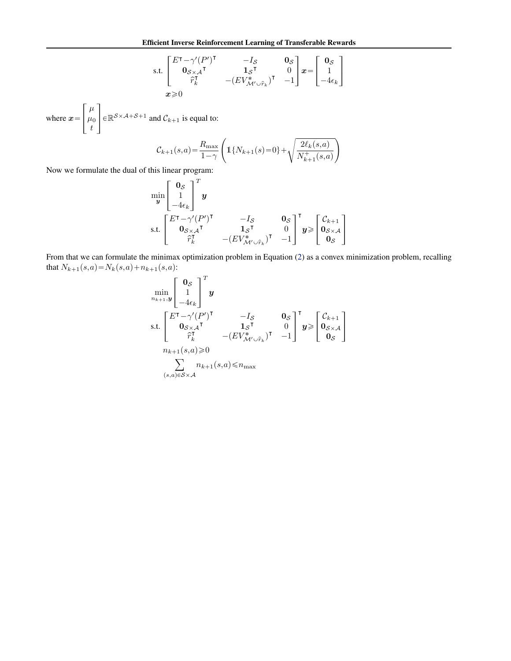s.t. 
$$
\begin{bmatrix} E^{\mathsf{T}} - \gamma'(P')^{\mathsf{T}} & -I_{\mathcal{S}} & \mathbf{0}_{\mathcal{S}} \\ \mathbf{0}_{\mathcal{S} \times \mathcal{A}}^{\mathsf{T}} & \mathbf{1}_{\mathcal{S}}^{\mathsf{T}} & 0 \\ \hat{r}_k^{\mathsf{T}} & -(EV^*_{\mathcal{M}' \cup \hat{r}_k})^{\mathsf{T}} & -1 \end{bmatrix} \mathbf{x} = \begin{bmatrix} \mathbf{0}_{\mathcal{S}} \\ 1 \\ -4\epsilon_k \end{bmatrix}
$$

$$
\mathbf{x} \ge 0
$$

where  $x =$  $\left| \begin{array}{c} \mu \\ \mu \end{array} \right|$  $\mu_0$ t  $\epsilon \in \mathbb{R}^{S \times A + S + 1}$  and  $C_{k+1}$  is equal to:

»

fi

$$
\mathcal{C}_{k+1}(s,a) = \frac{R_{\max}}{1-\gamma} \left( \mathbb{1}\{N_{k+1}(s) = 0\} + \sqrt{\frac{2\ell_k(s,a)}{N_{k+1}^+(s,a)}} \right)
$$

Now we formulate the dual of this linear program:

$$
\min_{\mathbf{y}} \begin{bmatrix} \mathbf{0}_{\mathcal{S}} \\ 1 \\ -4\epsilon_{k} \end{bmatrix}^T \mathbf{y}
$$
\ns.t. 
$$
\begin{bmatrix} E^{\mathsf{T}} - \gamma'(P')^{\mathsf{T}} & -I_{\mathcal{S}} & \mathbf{0}_{\mathcal{S}} \\ \mathbf{0}_{\mathcal{S} \times \mathcal{A}}^{\mathsf{T}} & \mathbf{1}_{\mathcal{S}}^{\mathsf{T}} & 0 \\ \hat{r}_{k}^{\mathsf{T}} & -(E V^*_{\mathcal{M}' \cup \hat{r}_{k}})^{\mathsf{T}} & -1 \end{bmatrix}^{\mathsf{T}} \mathbf{y} \geq \begin{bmatrix} \mathcal{C}_{k+1} \\ \mathbf{0}_{\mathcal{S} \times \mathcal{A}} \\ \mathbf{0}_{\mathcal{S}} \end{bmatrix}
$$

From that we can formulate the minimax optimization problem in Equation [\(2\)](#page-4-0) as a convex minimization problem, recalling that  $N_{k+1}(s,a) = N_k(s,a) + n_{k+1}(s,a)$ :

$$
\min_{n_{k+1},y} \begin{bmatrix} \mathbf{0}_{\mathcal{S}} \\ 1 \\ -4\epsilon_{k} \end{bmatrix}^{T} \mathbf{y}
$$
\ns.t. 
$$
\begin{bmatrix} E^{\mathsf{T}} - \gamma'(P')^{\mathsf{T}} & -I_{\mathcal{S}} & \mathbf{0}_{\mathcal{S}} \\ \mathbf{0}_{\mathcal{S}\times\mathcal{A}}\mathsf{T} & \mathbf{1}_{\mathcal{S}}\mathsf{T} & 0 \\ \hat{r}_{k}^{\mathsf{T}} & -(EV^{*}_{\mathcal{M}'\cup\hat{r}_{k}})^{\mathsf{T}} & -1 \end{bmatrix}^{T} \mathbf{y} \geq \begin{bmatrix} \mathcal{C}_{k+1} \\ \mathbf{0}_{\mathcal{S}\times\mathcal{A}} \\ \mathbf{0}_{\mathcal{S}} \end{bmatrix}
$$
\n
$$
n_{k+1}(s,a) \geq 0
$$
\n
$$
\sum_{(s,a)\in\mathcal{S}\times\mathcal{A}} n_{k+1}(s,a) \leq n_{\max}
$$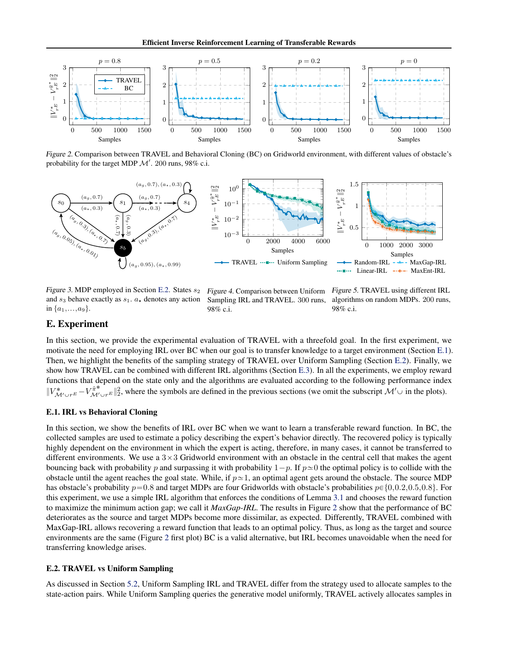Efficient Inverse Reinforcement Learning of Transferable Rewards

<span id="page-16-0"></span>

Figure 2. Comparison between TRAVEL and Behavioral Cloning (BC) on Gridworld environment, with different values of obstacle's probability for the target MDP  $\mathcal{M}'$ . 200 runs, 98% c.i.



Figure 3. MDP employed in Section E.2. States  $s_2$ and  $s_3$  behave exactly as  $s_1$ .  $a_*$  denotes any action in  $\{a_1,...,a_9\}$ .

Figure 4. Comparison between Uniform Sampling IRL and TRAVEL. 300 runs, 98% c.i.

Figure 5. TRAVEL using different IRL algorithms on random MDPs. 200 runs, 98% c.i.

# E. Experiment

In this section, we provide the experimental evaluation of TRAVEL with a threefold goal. In the first experiment, we motivate the need for employing IRL over BC when our goal is to transfer knowledge to a target environment (Section E.1). Then, we highlight the benefits of the sampling strategy of TRAVEL over Uniform Sampling (Section E.2). Finally, we show how TRAVEL can be combined with different IRL algorithms (Section [E.3\)](#page-17-0). In all the experiments, we employ reward functions that depend on the state only and the algorithms are evaluated according to the following performance index  $||V^*_{\mathcal{M}' \cup r^E} - V^{\hat{\pi}^*}_{\mathcal{M}' \cup r^E}||_2^2$ , where the symbols are defined in the previous sections (we omit the subscript  $\mathcal{M}' \cup$  in the plots).

### E.1. IRL vs Behavioral Cloning

In this section, we show the benefits of IRL over BC when we want to learn a transferable reward function. In BC, the collected samples are used to estimate a policy describing the expert's behavior directly. The recovered policy is typically highly dependent on the environment in which the expert is acting, therefore, in many cases, it cannot be transferred to different environments. We use a  $3\times3$  Gridworld environment with an obstacle in the central cell that makes the agent bouncing back with probability p and surpassing it with probability  $1-p$ . If  $p \approx 0$  the optimal policy is to collide with the obstacle until the agent reaches the goal state. While, if  $p \approx 1$ , an optimal agent gets around the obstacle. The source MDP has obstacle's probability  $p=0.8$  and target MDPs are four Gridworlds with obstacle's probabilities  $p \in \{0,0.2,0.5,0.8\}$ . For this experiment, we use a simple IRL algorithm that enforces the conditions of Lemma [3.1](#page-1-0) and chooses the reward function to maximize the minimum action gap; we call it *MaxGap-IRL*. The results in Figure 2 show that the performance of BC deteriorates as the source and target MDPs become more dissimilar, as expected. Differently, TRAVEL combined with MaxGap-IRL allows recovering a reward function that leads to an optimal policy. Thus, as long as the target and source environments are the same (Figure 2 first plot) BC is a valid alternative, but IRL becomes unavoidable when the need for transferring knowledge arises.

### E.2. TRAVEL vs Uniform Sampling

As discussed in Section [5.2,](#page-3-0) Uniform Sampling IRL and TRAVEL differ from the strategy used to allocate samples to the state-action pairs. While Uniform Sampling queries the generative model uniformly, TRAVEL actively allocates samples in